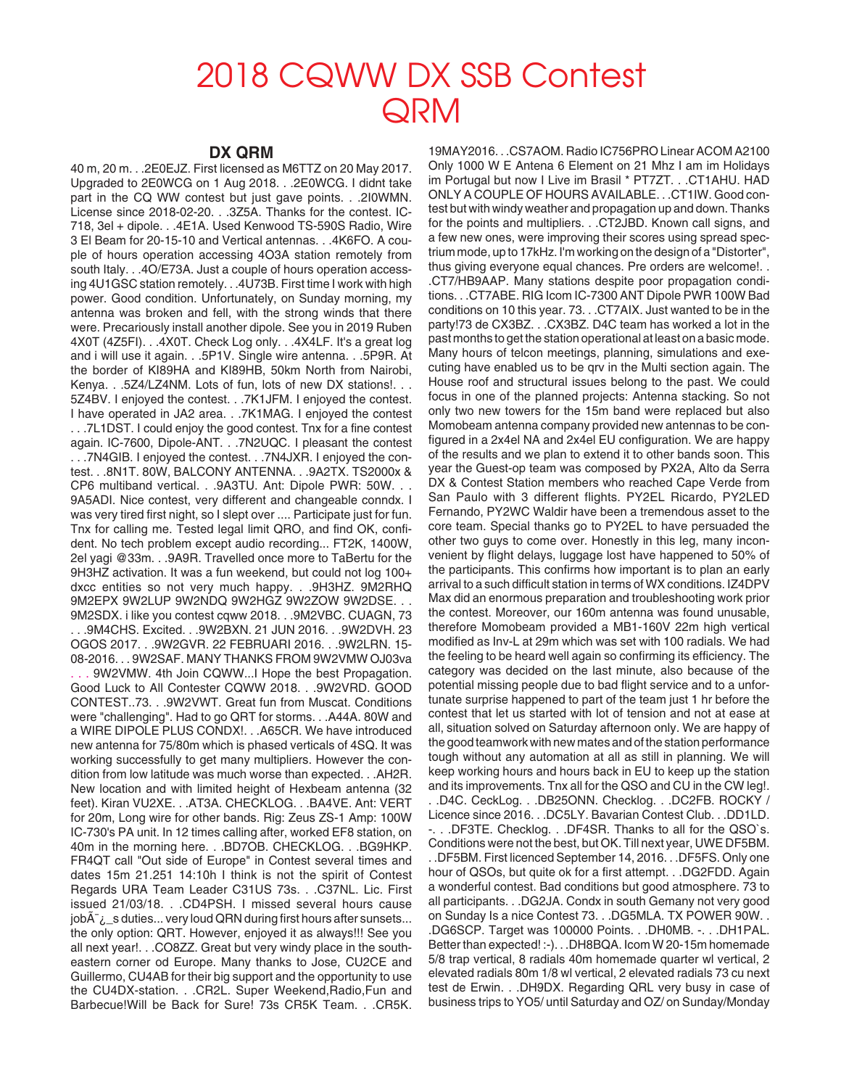## 2018 CQWW DX SSB Contest **QRM**

## **DX QRM**

40 m, 20 m. . .2E0EJZ. First licensed as M6TTZ on 20 May 2017. Upgraded to 2E0WCG on 1 Aug 2018. . .2E0WCG. I didnt take part in the CQ WW contest but just gave points. . .2I0WMN. License since 2018-02-20. . .3Z5A. Thanks for the contest. IC-718, 3el + dipole. . .4E1A. Used Kenwood TS-590S Radio, Wire 3 El Beam for 20-15-10 and Vertical antennas. . .4K6FO. A couple of hours operation accessing 4O3A station remotely from south Italy. . .4O/E73A. Just a couple of hours operation accessing 4U1GSC station remotely. . .4U73B. First time I work with high power. Good condition. Unfortunately, on Sunday morning, my antenna was broken and fell, with the strong winds that there were. Precariously install another dipole. See you in 2019 Ruben 4X0T (4Z5FI). . .4X0T. Check Log only. . .4X4LF. It's a great log and i will use it again. . .5P1V. Single wire antenna. . .5P9R. At the border of KI89HA and KI89HB, 50km North from Nairobi, Kenya. . . 5Z4/LZ4NM. Lots of fun, lots of new DX stations!. . . 5Z4BV. I enjoyed the contest. . .7K1JFM. I enjoyed the contest. I have operated in JA2 area. . .7K1MAG. I enjoyed the contest . . .7L1DST. I could enjoy the good contest. Tnx for a fine contest again. IC-7600, Dipole-ANT. . .7N2UQC. I pleasant the contest . . .7N4GIB. I enjoyed the contest. . .7N4JXR. I enjoyed the contest. . .8N1T. 80W, BALCONY ANTENNA. . .9A2TX. TS2000x & CP6 multiband vertical. . .9A3TU. Ant: Dipole PWR: 50W. . . 9A5ADI. Nice contest, very different and changeable conndx. I was very tired first night, so I slept over .... Participate just for fun. Tnx for calling me. Tested legal limit QRO, and find OK, confident. No tech problem except audio recording... FT2K, 1400W, 2el yagi @33m. . .9A9R. Travelled once more to TaBertu for the 9H3HZ activation. It was a fun weekend, but could not log 100+ dxcc entities so not very much happy. . .9H3HZ. 9M2RHQ 9M2EPX 9W2LUP 9W2NDQ 9W2HGZ 9W2ZOW 9W2DSE. . . 9M2SDX. i like you contest cqww 2018. . .9M2VBC. CUAGN, 73 . . .9M4CHS. Excited. . .9W2BXN. 21 JUN 2016. . .9W2DVH. 23 OGOS 2017. . .9W2GVR. 22 FEBRUARI 2016. . .9W2LRN. 15- 08-2016. . . 9W2SAF. MANY THANKS FROM 9W2VMW OJ03va 9W2VMW. 4th Join CQWW...I Hope the best Propagation. Good Luck to All Contester CQWW 2018. . .9W2VRD. GOOD CONTEST..73. . .9W2VWT. Great fun from Muscat. Conditions were "challenging". Had to go QRT for storms. . .A44A. 80W and a WIRE DIPOLE PLUS CONDX!. . .A65CR. We have introduced new antenna for 75/80m which is phased verticals of 4SQ. It was working successfully to get many multipliers. However the condition from low latitude was much worse than expected. . .AH2R. New location and with limited height of Hexbeam antenna (32 feet). Kiran VU2XE. . .AT3A. CHECKLOG. . .BA4VE. Ant: VERT for 20m, Long wire for other bands. Rig: Zeus ZS-1 Amp: 100W IC-730's PA unit. In 12 times calling after, worked EF8 station, on 40m in the morning here. . .BD7OB. CHECKLOG. . .BG9HKP. FR4QT call "Out side of Europe" in Contest several times and dates 15m 21.251 14:10h I think is not the spirit of Contest Regards URA Team Leader C31US 73s. . .C37NL. Lic. First issued 21/03/18. . .CD4PSH. I missed several hours cause job $\rm A^-$ <sub> $\rm L$ </sub>s duties... very loud QRN during first hours after sunsets... the only option: QRT. However, enjoyed it as always!!! See you all next year!. . .CO8ZZ. Great but very windy place in the southeastern corner od Europe. Many thanks to Jose, CU2CE and Guillermo, CU4AB for their big support and the opportunity to use the CU4DX-station. . .CR2L. Super Weekend,Radio,Fun and Barbecue!Will be Back for Sure! 73s CR5K Team. . .CR5K.

19MAY2016. . .CS7AOM. Radio IC756PRO Linear ACOM A2100 Only 1000 W E Antena 6 Element on 21 Mhz I am im Holidays im Portugal but now I Live im Brasil \* PT7ZT. . .CT1AHU. HAD ONLY A COUPLE OF HOURS AVAILABLE. . .CT1IW. Good contest but with windy weather and propagation up and down. Thanks for the points and multipliers. . .CT2JBD. Known call signs, and a few new ones, were improving their scores using spread spectrium mode, up to 17kHz. I'm working on the design of a "Distorter", thus giving everyone equal chances. Pre orders are welcome!. . .CT7/HB9AAP. Many stations despite poor propagation conditions. . .CT7ABE. RIG Icom IC-7300 ANT Dipole PWR 100W Bad conditions on 10 this year. 73. . .CT7AIX. Just wanted to be in the party!73 de CX3BZ. . .CX3BZ. D4C team has worked a lot in the past months to get the station operational at least on a basic mode. Many hours of telcon meetings, planning, simulations and executing have enabled us to be qrv in the Multi section again. The House roof and structural issues belong to the past. We could focus in one of the planned projects: Antenna stacking. So not only two new towers for the 15m band were replaced but also Momobeam antenna company provided new antennas to be configured in a 2x4el NA and 2x4el EU configuration. We are happy of the results and we plan to extend it to other bands soon. This year the Guest-op team was composed by PX2A, Alto da Serra DX & Contest Station members who reached Cape Verde from San Paulo with 3 different flights. PY2EL Ricardo, PY2LED Fernando, PY2WC Waldir have been a tremendous asset to the core team. Special thanks go to PY2EL to have persuaded the other two guys to come over. Honestly in this leg, many inconvenient by flight delays, luggage lost have happened to 50% of the participants. This confirms how important is to plan an early arrival to a such difficult station in terms of WX conditions. IZ4DPV Max did an enormous preparation and troubleshooting work prior the contest. Moreover, our 160m antenna was found unusable, therefore Momobeam provided a MB1-160V 22m high vertical modified as Inv-L at 29m which was set with 100 radials. We had the feeling to be heard well again so confirming its efficiency. The category was decided on the last minute, also because of the potential missing people due to bad flight service and to a unfortunate surprise happened to part of the team just 1 hr before the contest that let us started with lot of tension and not at ease at all, situation solved on Saturday afternoon only. We are happy of the good teamwork with new mates and of the station performance tough without any automation at all as still in planning. We will keep working hours and hours back in EU to keep up the station and its improvements. Tnx all for the QSO and CU in the CW leg!. . .D4C. CeckLog. . .DB25ONN. Checklog. . .DC2FB. ROCKY / Licence since 2016. . .DC5LY. Bavarian Contest Club. . .DD1LD. -. . .DF3TE. Checklog. . .DF4SR. Thanks to all for the QSO`s. Conditions were not the best, but OK. Till next year, UWE DF5BM. . .DF5BM. First licenced September 14, 2016. . .DF5FS. Only one hour of QSOs, but quite ok for a first attempt. . .DG2FDD. Again a wonderful contest. Bad conditions but good atmosphere. 73 to all participants. . .DG2JA. Condx in south Gemany not very good on Sunday Is a nice Contest 73. . .DG5MLA. TX POWER 90W. . .DG6SCP. Target was 100000 Points. . .DH0MB. -. . .DH1PAL. Better than expected! :-). . .DH8BQA. Icom W 20-15m homemade 5/8 trap vertical, 8 radials 40m homemade quarter wl vertical, 2 elevated radials 80m 1/8 wl vertical, 2 elevated radials 73 cu next test de Erwin. . .DH9DX. Regarding QRL very busy in case of business trips to YO5/ until Saturday and OZ/ on Sunday/Monday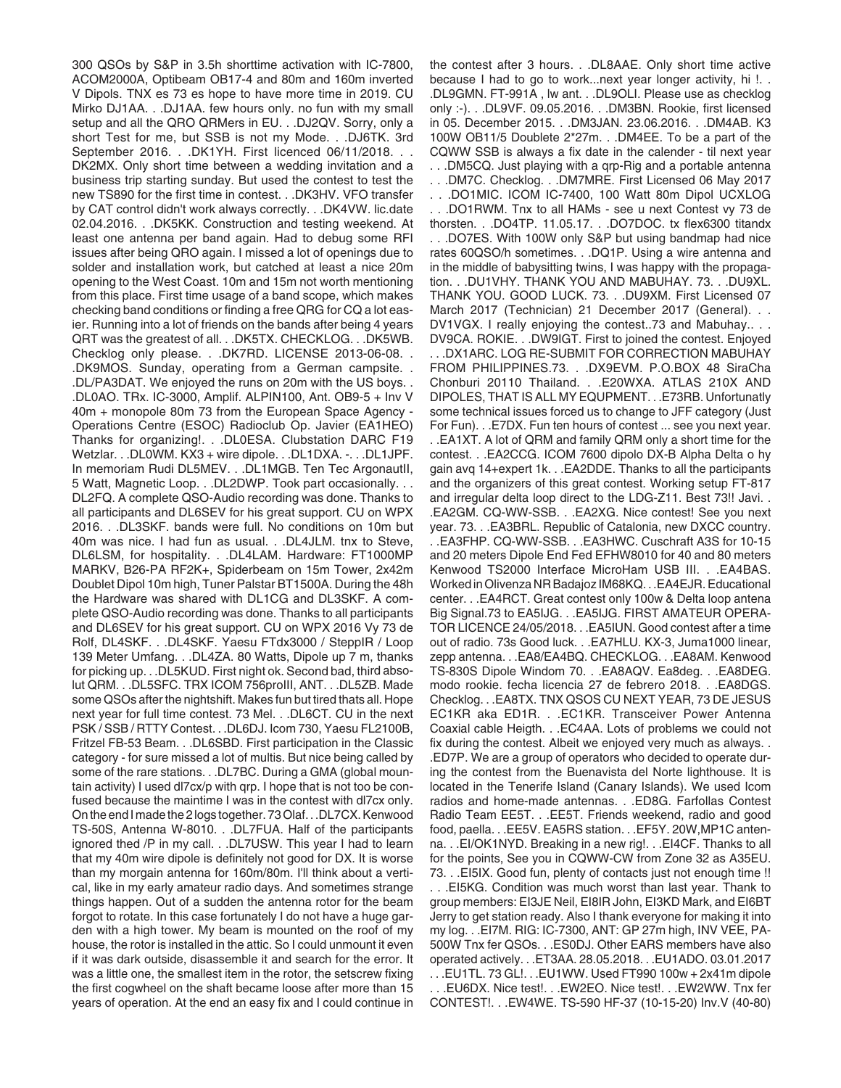300 QSOs by S&P in 3.5h shorttime activation with IC-7800, ACOM2000A, Optibeam OB17-4 and 80m and 160m inverted V Dipols. TNX es 73 es hope to have more time in 2019. CU Mirko DJ1AA. . .DJ1AA. few hours only. no fun with my small setup and all the QRO QRMers in EU. . .DJ2QV. Sorry, only a short Test for me, but SSB is not my Mode. . .DJ6TK. 3rd September 2016. . .DK1YH. First licenced 06/11/2018. . . DK2MX. Only short time between a wedding invitation and a business trip starting sunday. But used the contest to test the new TS890 for the first time in contest. . .DK3HV. VFO transfer by CAT control didn't work always correctly. . .DK4VW. lic.date 02.04.2016. . .DK5KK. Construction and testing weekend. At least one antenna per band again. Had to debug some RFI issues after being QRO again. I missed a lot of openings due to solder and installation work, but catched at least a nice 20m opening to the West Coast. 10m and 15m not worth mentioning from this place. First time usage of a band scope, which makes checking band conditions or finding a free QRG for CQ a lot easier. Running into a lot of friends on the bands after being 4 years QRT was the greatest of all. . .DK5TX. CHECKLOG. . .DK5WB. Checklog only please. . .DK7RD. LICENSE 2013-06-08. . .DK9MOS. Sunday, operating from a German campsite. . .DL/PA3DAT. We enjoyed the runs on 20m with the US boys. . .DL0AO. TRx. IC-3000, Amplif. ALPIN100, Ant. OB9-5 + Inv V 40m + monopole 80m 73 from the European Space Agency - Operations Centre (ESOC) Radioclub Op. Javier (EA1HEO) Thanks for organizing!. . .DL0ESA. Clubstation DARC F19 Wetzlar. . .DL0WM. KX3 + wire dipole. . .DL1DXA. -. . .DL1JPF. In memoriam Rudi DL5MEV. . .DL1MGB. Ten Tec ArgonautII, 5 Watt, Magnetic Loop. . .DL2DWP. Took part occasionally. . . DL2FQ. A complete QSO-Audio recording was done. Thanks to all participants and DL6SEV for his great support. CU on WPX 2016. . .DL3SKF. bands were full. No conditions on 10m but 40m was nice. I had fun as usual. . .DL4JLM. tnx to Steve, DL6LSM, for hospitality. . .DL4LAM. Hardware: FT1000MP MARKV, B26-PA RF2K+, Spiderbeam on 15m Tower, 2x42m Doublet Dipol 10m high, Tuner Palstar BT1500A. During the 48h the Hardware was shared with DL1CG and DL3SKF. A complete QSO-Audio recording was done. Thanks to all participants and DL6SEV for his great support. CU on WPX 2016 Vy 73 de Rolf, DL4SKF. . .DL4SKF. Yaesu FTdx3000 / SteppIR / Loop 139 Meter Umfang. . .DL4ZA. 80 Watts, Dipole up 7 m, thanks for picking up. . .DL5KUD. First night ok. Second bad, third absolut QRM. . .DL5SFC. TRX ICOM 756proIII, ANT. . .DL5ZB. Made some QSOs after the nightshift. Makes fun but tired thats all. Hope next year for full time contest. 73 Mel. . .DL6CT. CU in the next PSK / SSB / RTTY Contest. . .DL6DJ. Icom 730, Yaesu FL2100B, Fritzel FB-53 Beam. . .DL6SBD. First participation in the Classic category - for sure missed a lot of multis. But nice being called by some of the rare stations. . .DL7BC. During a GMA (global mountain activity) I used dl7cx/p with qrp. I hope that is not too be confused because the maintime I was in the contest with dl7cx only. On the end I made the 2 logs together. 73 Olaf. . .DL7CX. Kenwood TS-50S, Antenna W-8010. . .DL7FUA. Half of the participants ignored thed /P in my call. . .DL7USW. This year I had to learn that my 40m wire dipole is definitely not good for DX. It is worse than my morgain antenna for 160m/80m. I'll think about a vertical, like in my early amateur radio days. And sometimes strange things happen. Out of a sudden the antenna rotor for the beam forgot to rotate. In this case fortunately I do not have a huge garden with a high tower. My beam is mounted on the roof of my house, the rotor is installed in the attic. So I could unmount it even if it was dark outside, disassemble it and search for the error. It was a little one, the smallest item in the rotor, the setscrew fixing the first cogwheel on the shaft became loose after more than 15 years of operation. At the end an easy fix and I could continue in the contest after 3 hours. . .DL8AAE. Only short time active because I had to go to work...next year longer activity, hi !. . .DL9GMN. FT-991A , lw ant. . .DL9OLI. Please use as checklog only :-). . .DL9VF. 09.05.2016. . .DM3BN. Rookie, first licensed in 05. December 2015. . .DM3JAN. 23.06.2016. . .DM4AB. K3 100W OB11/5 Doublete 2\*27m. . .DM4EE. To be a part of the CQWW SSB is always a fix date in the calender - til next year . . .DM5CQ. Just playing with a qrp-Rig and a portable antenna . . .DM7C. Checklog. . .DM7MRE. First Licensed 06 May 2017 . . .DO1MIC. ICOM IC-7400, 100 Watt 80m Dipol UCXLOG . . .DO1RWM. Tnx to all HAMs - see u next Contest vy 73 de thorsten. . .DO4TP. 11.05.17. . .DO7DOC. tx flex6300 titandx . . .DO7ES. With 100W only S&P but using bandmap had nice rates 60QSO/h sometimes. . .DQ1P. Using a wire antenna and in the middle of babysitting twins, I was happy with the propagation. . .DU1VHY. THANK YOU AND MABUHAY. 73. . .DU9XL. THANK YOU. GOOD LUCK. 73. . .DU9XM. First Licensed 07 March 2017 (Technician) 21 December 2017 (General). . . DV1VGX. I really enjoying the contest..73 and Mabuhay.. . . DV9CA. ROKIE. . .DW9IGT. First to joined the contest. Enjoyed . . .DX1ARC. LOG RE-SUBMIT FOR CORRECTION MABUHAY FROM PHILIPPINES.73. . .DX9EVM. P.O.BOX 48 SiraCha Chonburi 20110 Thailand. . .E20WXA. ATLAS 210X AND DIPOLES, THAT IS ALL MY EQUPMENT. . .E73RB. Unfortunatly some technical issues forced us to change to JFF category (Just For Fun). . .E7DX. Fun ten hours of contest ... see you next year. . .EA1XT. A lot of QRM and family QRM only a short time for the contest. . .EA2CCG. ICOM 7600 dipolo DX-B Alpha Delta o hy gain avq 14+expert 1k. . .EA2DDE. Thanks to all the participants and the organizers of this great contest. Working setup FT-817 and irregular delta loop direct to the LDG-Z11. Best 73!! Javi. . .EA2GM. CQ-WW-SSB. . .EA2XG. Nice contest! See you next year. 73. . .EA3BRL. Republic of Catalonia, new DXCC country. . .EA3FHP. CQ-WW-SSB. . .EA3HWC. Cuschraft A3S for 10-15 and 20 meters Dipole End Fed EFHW8010 for 40 and 80 meters Kenwood TS2000 Interface MicroHam USB III. . .EA4BAS. Worked in Olivenza NR Badajoz IM68KQ. . .EA4EJR. Educational center. . .EA4RCT. Great contest only 100w & Delta loop antena Big Signal.73 to EA5IJG. . .EA5IJG. FIRST AMATEUR OPERA-TOR LICENCE 24/05/2018. . .EA5IUN. Good contest after a time out of radio. 73s Good luck. . .EA7HLU. KX-3, Juma1000 linear, zepp antenna. . .EA8/EA4BQ. CHECKLOG. . .EA8AM. Kenwood TS-830S Dipole Windom 70. . .EA8AQV. Ea8deg. . .EA8DEG. modo rookie. fecha licencia 27 de febrero 2018. . .EA8DGS. Checklog. . .EA8TX. TNX QSOS CU NEXT YEAR, 73 DE JESUS EC1KR aka ED1R. . .EC1KR. Transceiver Power Antenna Coaxial cable Heigth. . .EC4AA. Lots of problems we could not fix during the contest. Albeit we enjoyed very much as always. . .ED7P. We are a group of operators who decided to operate during the contest from the Buenavista del Norte lighthouse. It is located in the Tenerife Island (Canary Islands). We used Icom radios and home-made antennas. . .ED8G. Farfollas Contest Radio Team EE5T. . .EE5T. Friends weekend, radio and good food, paella. . .EE5V. EA5RS station. . .EF5Y. 20W,MP1C antenna. . .EI/OK1NYD. Breaking in a new rig!. . .EI4CF. Thanks to all for the points, See you in CQWW-CW from Zone 32 as A35EU. 73. . .EI5IX. Good fun, plenty of contacts just not enough time !! . . .EI5KG. Condition was much worst than last year. Thank to group members: EI3JE Neil, EI8IR John, EI3KD Mark, and EI6BT Jerry to get station ready. Also I thank everyone for making it into my log. . .EI7M. RIG: IC-7300, ANT: GP 27m high, INV VEE, PA-500W Tnx fer QSOs. . .ES0DJ. Other EARS members have also operated actively. . .ET3AA. 28.05.2018. . .EU1ADO. 03.01.2017 . . .EU1TL. 73 GL!. . .EU1WW. Used FT990 100w + 2x41m dipole . . .EU6DX. Nice test!. . .EW2EO. Nice test!. . .EW2WW. Tnx fer CONTEST!. . .EW4WE. TS-590 HF-37 (10-15-20) Inv.V (40-80)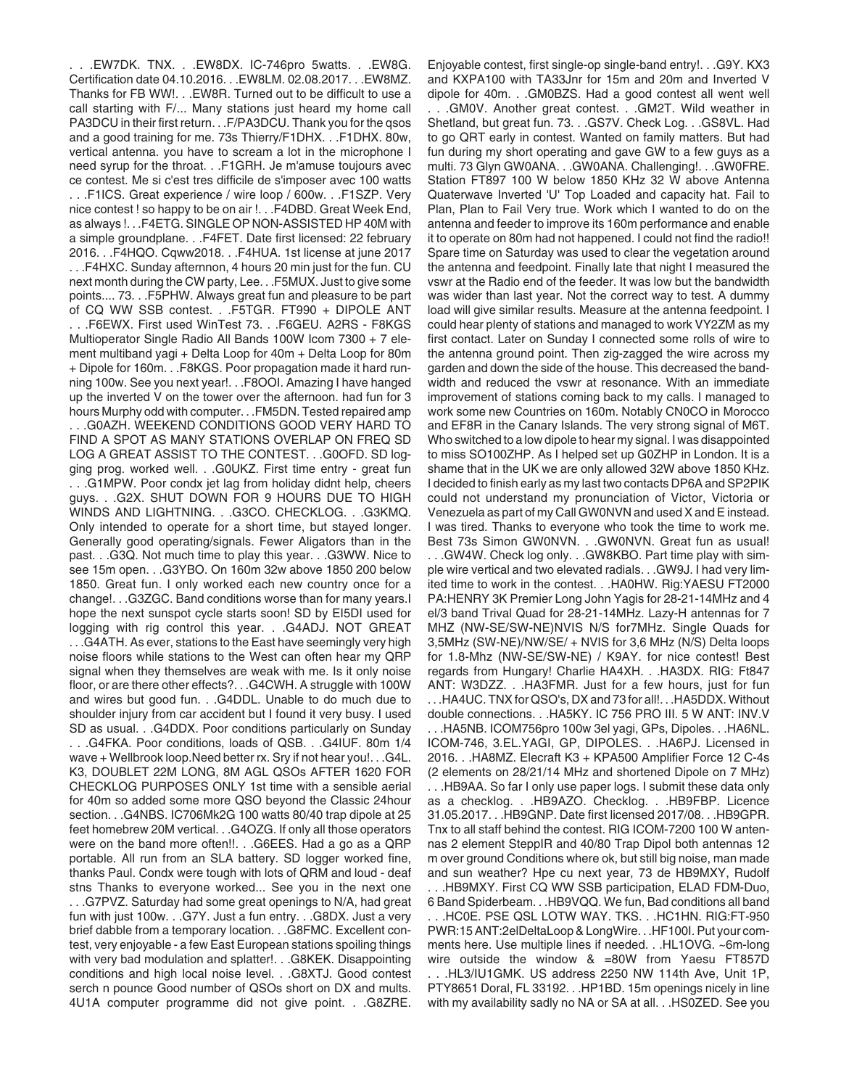. . .EW7DK. TNX. . .EW8DX. IC-746pro 5watts. . .EW8G. Certification date 04.10.2016. . .EW8LM. 02.08.2017. . .EW8MZ. Thanks for FB WW!. . .EW8R. Turned out to be difficult to use a call starting with F/... Many stations just heard my home call PA3DCU in their first return. . .F/PA3DCU. Thank you for the qsos and a good training for me. 73s Thierry/F1DHX. . .F1DHX. 80w, vertical antenna. you have to scream a lot in the microphone I need syrup for the throat. . .F1GRH. Je m'amuse toujours avec ce contest. Me si c'est tres difficile de s'imposer avec 100 watts . . .F1ICS. Great experience / wire loop / 600w. . .F1SZP. Very nice contest ! so happy to be on air !. . .F4DBD. Great Week End, as always !. . .F4ETG. SINGLE OP NON-ASSISTED HP 40M with a simple groundplane. . .F4FET. Date first licensed: 22 february 2016. . .F4HQO. Cqww2018. . .F4HUA. 1st license at june 2017 . . .F4HXC. Sunday afternnon, 4 hours 20 min just for the fun. CU next month during the CW party, Lee. . .F5MUX. Just to give some points.... 73. . .F5PHW. Always great fun and pleasure to be part of CQ WW SSB contest. . .F5TGR. FT990 + DIPOLE ANT . . .F6EWX. First used WinTest 73. . .F6GEU. A2RS - F8KGS Multioperator Single Radio All Bands 100W Icom 7300 + 7 element multiband yagi + Delta Loop for 40m + Delta Loop for 80m + Dipole for 160m. . .F8KGS. Poor propagation made it hard running 100w. See you next year!. . .F8OOI. Amazing I have hanged up the inverted V on the tower over the afternoon. had fun for 3 hours Murphy odd with computer. . .FM5DN. Tested repaired amp . . .G0AZH. WEEKEND CONDITIONS GOOD VERY HARD TO FIND A SPOT AS MANY STATIONS OVERLAP ON FREQ SD LOG A GREAT ASSIST TO THE CONTEST. . .G0OFD. SD logging prog. worked well. . .G0UKZ. First time entry - great fun . . .G1MPW. Poor condx jet lag from holiday didnt help, cheers guys. . .G2X. SHUT DOWN FOR 9 HOURS DUE TO HIGH WINDS AND LIGHTNING. . .G3CO. CHECKLOG. . .G3KMQ. Only intended to operate for a short time, but stayed longer. Generally good operating/signals. Fewer Aligators than in the past. . .G3Q. Not much time to play this year. . .G3WW. Nice to see 15m open. . .G3YBO. On 160m 32w above 1850 200 below 1850. Great fun. I only worked each new country once for a change!. . .G3ZGC. Band conditions worse than for many years.I hope the next sunspot cycle starts soon! SD by EI5DI used for logging with rig control this year. . .G4ADJ. NOT GREAT . . .G4ATH. As ever, stations to the East have seemingly very high noise floors while stations to the West can often hear my QRP signal when they themselves are weak with me. Is it only noise floor, or are there other effects?. . .G4CWH. A struggle with 100W and wires but good fun. . .G4DDL. Unable to do much due to shoulder injury from car accident but I found it very busy. I used SD as usual. . .G4DDX. Poor conditions particularly on Sunday . . .G4FKA. Poor conditions, loads of QSB. . .G4IUF. 80m 1/4 wave + Wellbrook loop.Need better rx. Sry if not hear you!. . .G4L. K3, DOUBLET 22M LONG, 8M AGL QSOs AFTER 1620 FOR CHECKLOG PURPOSES ONLY 1st time with a sensible aerial for 40m so added some more QSO beyond the Classic 24hour section. . .G4NBS. IC706Mk2G 100 watts 80/40 trap dipole at 25 feet homebrew 20M vertical. . .G4OZG. If only all those operators were on the band more often!!. . .G6EES. Had a go as a QRP portable. All run from an SLA battery. SD logger worked fine, thanks Paul. Condx were tough with lots of QRM and loud - deaf stns Thanks to everyone worked... See you in the next one . . .G7PVZ. Saturday had some great openings to N/A, had great fun with just 100w. . .G7Y. Just a fun entry. . .G8DX. Just a very brief dabble from a temporary location. . .G8FMC. Excellent contest, very enjoyable - a few East European stations spoiling things with very bad modulation and splatter!. . .G8KEK. Disappointing conditions and high local noise level. . .G8XTJ. Good contest serch n pounce Good number of QSOs short on DX and mults. 4U1A computer programme did not give point. . .G8ZRE.

Enjoyable contest, first single-op single-band entry!. . .G9Y. KX3 and KXPA100 with TA33Jnr for 15m and 20m and Inverted V dipole for 40m. . .GM0BZS. Had a good contest all went well . . .GM0V. Another great contest. . .GM2T. Wild weather in Shetland, but great fun. 73. . .GS7V. Check Log. . .GS8VL. Had to go QRT early in contest. Wanted on family matters. But had fun during my short operating and gave GW to a few guys as a multi. 73 Glyn GW0ANA. . .GW0ANA. Challenging!. . .GW0FRE. Station FT897 100 W below 1850 KHz 32 W above Antenna Quaterwave Inverted 'U' Top Loaded and capacity hat. Fail to Plan, Plan to Fail Very true. Work which I wanted to do on the antenna and feeder to improve its 160m performance and enable it to operate on 80m had not happened. I could not find the radio!! Spare time on Saturday was used to clear the vegetation around the antenna and feedpoint. Finally late that night I measured the vswr at the Radio end of the feeder. It was low but the bandwidth was wider than last year. Not the correct way to test. A dummy load will give similar results. Measure at the antenna feedpoint. I could hear plenty of stations and managed to work VY2ZM as my first contact. Later on Sunday I connected some rolls of wire to the antenna ground point. Then zig-zagged the wire across my garden and down the side of the house. This decreased the bandwidth and reduced the vswr at resonance. With an immediate improvement of stations coming back to my calls. I managed to work some new Countries on 160m. Notably CN0CO in Morocco and EF8R in the Canary Islands. The very strong signal of M6T. Who switched to a low dipole to hear my signal. I was disappointed to miss SO100ZHP. As I helped set up G0ZHP in London. It is a shame that in the UK we are only allowed 32W above 1850 KHz. I decided to finish early as my last two contacts DP6A and SP2PIK could not understand my pronunciation of Victor, Victoria or Venezuela as part of my Call GW0NVN and used X and E instead. I was tired. Thanks to everyone who took the time to work me. Best 73s Simon GW0NVN. . .GW0NVN. Great fun as usual! . . .GW4W. Check log only. . .GW8KBO. Part time play with simple wire vertical and two elevated radials. . .GW9J. I had very limited time to work in the contest. . .HA0HW. Rig:YAESU FT2000 PA:HENRY 3K Premier Long John Yagis for 28-21-14MHz and 4 el/3 band Trival Quad for 28-21-14MHz. Lazy-H antennas for 7 MHZ (NW-SE/SW-NE)NVIS N/S for7MHz. Single Quads for 3,5MHz (SW-NE)/NW/SE/ + NVIS for 3,6 MHz (N/S) Delta loops for 1.8-Mhz (NW-SE/SW-NE) / K9AY. for nice contest! Best regards from Hungary! Charlie HA4XH. . .HA3DX. RIG: Ft847 ANT: W3DZZ. . .HA3FMR. Just for a few hours, just for fun . . .HA4UC. TNX for QSO's, DX and 73 for all!. . .HA5DDX. Without double connections. . .HA5KY. IC 756 PRO III. 5 W ANT: INV.V . . .HA5NB. ICOM756pro 100w 3el yagi, GPs, Dipoles. . .HA6NL. ICOM-746, 3.EL.YAGI, GP, DIPOLES. . .HA6PJ. Licensed in 2016. . .HA8MZ. Elecraft K3 + KPA500 Amplifier Force 12 C-4s (2 elements on 28/21/14 MHz and shortened Dipole on 7 MHz) . . .HB9AA. So far I only use paper logs. I submit these data only as a checklog. . .HB9AZO. Checklog. . .HB9FBP. Licence 31.05.2017. . .HB9GNP. Date first licensed 2017/08. . .HB9GPR. Tnx to all staff behind the contest. RIG ICOM-7200 100 W antennas 2 element SteppIR and 40/80 Trap Dipol both antennas 12 m over ground Conditions where ok, but still big noise, man made and sun weather? Hpe cu next year, 73 de HB9MXY, Rudolf . . .HB9MXY. First CQ WW SSB participation, ELAD FDM-Duo, 6 Band Spiderbeam. . .HB9VQQ. We fun, Bad conditions all band

. . .HC0E. PSE QSL LOTW WAY. TKS. . .HC1HN. RIG:FT-950 PWR:15 ANT:2elDeltaLoop & LongWire. . .HF100I. Put your comments here. Use multiple lines if needed. . .HL1OVG. ~6m-long wire outside the window & =80W from Yaesu FT857D . . .HL3/IU1GMK. US address 2250 NW 114th Ave, Unit 1P, PTY8651 Doral, FL 33192. . .HP1BD. 15m openings nicely in line with my availability sadly no NA or SA at all. . .HS0ZED. See you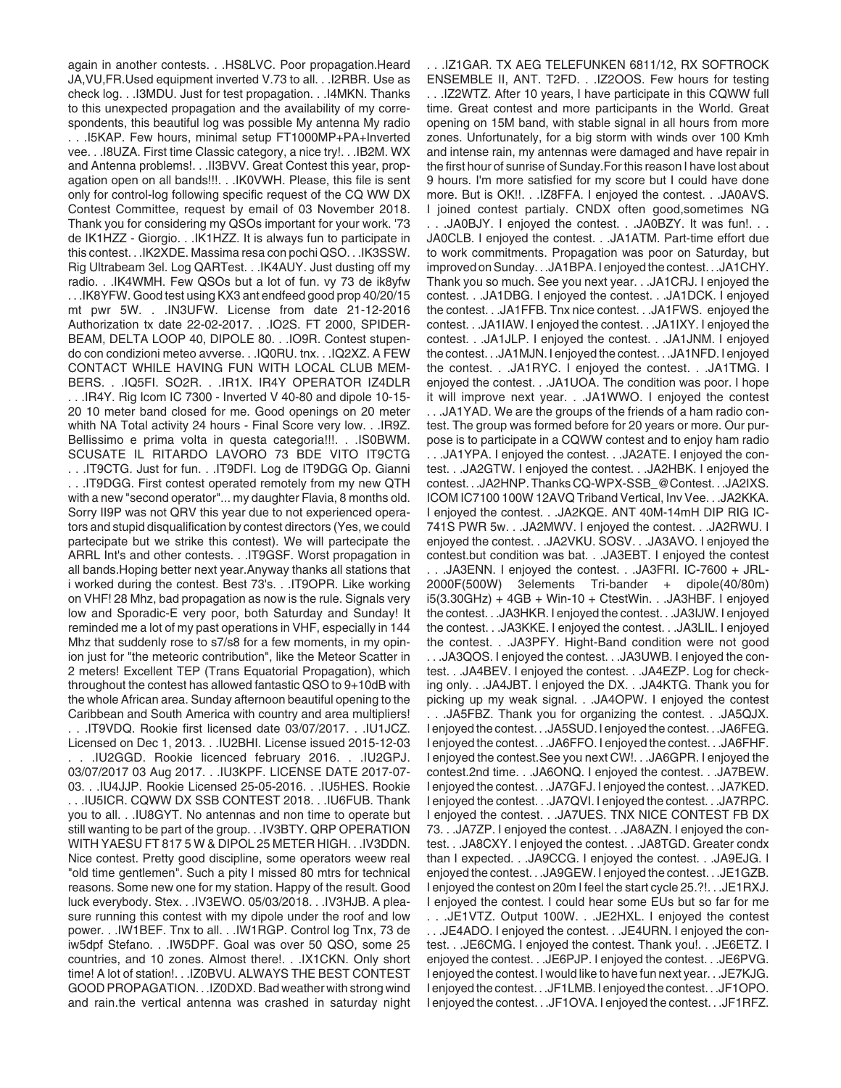again in another contests. . .HS8LVC. Poor propagation.Heard JA,VU,FR.Used equipment inverted V.73 to all. . .I2RBR. Use as check log. . .I3MDU. Just for test propagation. . .I4MKN. Thanks to this unexpected propagation and the availability of my correspondents, this beautiful log was possible My antenna My radio . . .I5KAP. Few hours, minimal setup FT1000MP+PA+Inverted vee. . .I8UZA. First time Classic category, a nice try!. . .IB2M. WX and Antenna problems!. . .II3BVV. Great Contest this year, propagation open on all bands!!!. . .IK0VWH. Please, this file is sent only for control-log following specific request of the CQ WW DX Contest Committee, request by email of 03 November 2018. Thank you for considering my QSOs important for your work. '73 de IK1HZZ - Giorgio. . .IK1HZZ. It is always fun to participate in this contest. . .IK2XDE. Massima resa con pochi QSO. . .IK3SSW. Rig Ultrabeam 3el. Log QARTest. . .IK4AUY. Just dusting off my radio. . .IK4WMH. Few QSOs but a lot of fun. vy 73 de ik8yfw . . .IK8YFW. Good test using KX3 ant endfeed good prop 40/20/15 mt pwr 5W. . .IN3UFW. License from date 21-12-2016 Authorization tx date 22-02-2017. . .IO2S. FT 2000, SPIDER-BEAM, DELTA LOOP 40, DIPOLE 80. . .IO9R. Contest stupendo con condizioni meteo avverse. . .IQ0RU. tnx. . .IQ2XZ. A FEW CONTACT WHILE HAVING FUN WITH LOCAL CLUB MEM-BERS. . .IQ5FI. SO2R. . .IR1X. IR4Y OPERATOR IZ4DLR . . .IR4Y. Rig Icom IC 7300 - Inverted V 40-80 and dipole 10-15- 20 10 meter band closed for me. Good openings on 20 meter whith NA Total activity 24 hours - Final Score very low. . .IR9Z. Bellissimo e prima volta in questa categoria!!!. . .IS0BWM. SCUSATE IL RITARDO LAVORO 73 BDE VITO IT9CTG . . .IT9CTG. Just for fun. . .IT9DFI. Log de IT9DGG Op. Gianni . . .IT9DGG. First contest operated remotely from my new QTH with a new "second operator"... my daughter Flavia, 8 months old. Sorry II9P was not QRV this year due to not experienced operators and stupid disqualification by contest directors (Yes, we could partecipate but we strike this contest). We will partecipate the ARRL Int's and other contests. . .IT9GSF. Worst propagation in all bands.Hoping better next year.Anyway thanks all stations that i worked during the contest. Best 73's. . .IT9OPR. Like working on VHF! 28 Mhz, bad propagation as now is the rule. Signals very low and Sporadic-E very poor, both Saturday and Sunday! It reminded me a lot of my past operations in VHF, especially in 144 Mhz that suddenly rose to s7/s8 for a few moments, in my opinion just for "the meteoric contribution", like the Meteor Scatter in 2 meters! Excellent TEP (Trans Equatorial Propagation), which throughout the contest has allowed fantastic QSO to 9+10dB with the whole African area. Sunday afternoon beautiful opening to the Caribbean and South America with country and area multipliers! . . .IT9VDQ. Rookie first licensed date 03/07/2017. . .IU1JCZ. Licensed on Dec 1, 2013. . .IU2BHI. License issued 2015-12-03 . . .IU2GGD. Rookie licenced february 2016. . .IU2GPJ. 03/07/2017 03 Aug 2017. . .IU3KPF. LICENSE DATE 2017-07- 03. . .IU4JJP. Rookie Licensed 25-05-2016. . .IU5HES. Rookie . . .IU5ICR. CQWW DX SSB CONTEST 2018. . .IU6FUB. Thank you to all. . .IU8GYT. No antennas and non time to operate but still wanting to be part of the group. . .IV3BTY. QRP OPERATION WITH YAESU FT 817 5 W & DIPOL 25 METER HIGH. . .IV3DDN. Nice contest. Pretty good discipline, some operators weew real "old time gentlemen". Such a pity I missed 80 mtrs for technical reasons. Some new one for my station. Happy of the result. Good luck everybody. Stex. . .IV3EWO. 05/03/2018. . .IV3HJB. A pleasure running this contest with my dipole under the roof and low power. . .IW1BEF. Tnx to all. . .IW1RGP. Control log Tnx, 73 de iw5dpf Stefano. . .IW5DPF. Goal was over 50 QSO, some 25 countries, and 10 zones. Almost there!. . .IX1CKN. Only short time! A lot of station!. . .IZ0BVU. ALWAYS THE BEST CONTEST GOOD PROPAGATION. . .IZ0DXD. Bad weather with strong wind and rain.the vertical antenna was crashed in saturday night

. . .IZ1GAR. TX AEG TELEFUNKEN 6811/12, RX SOFTROCK ENSEMBLE II, ANT. T2FD. . .IZ2OOS. Few hours for testing . . .IZ2WTZ. After 10 years, I have participate in this CQWW full time. Great contest and more participants in the World. Great opening on 15M band, with stable signal in all hours from more zones. Unfortunately, for a big storm with winds over 100 Kmh and intense rain, my antennas were damaged and have repair in the first hour of sunrise of Sunday.For this reason I have lost about 9 hours. I'm more satisfied for my score but I could have done more. But is OK!!. . .IZ8FFA. I enjoyed the contest. . .JA0AVS. I joined contest partialy. CNDX often good,sometimes NG . . .JA0BJY. I enjoyed the contest. . .JA0BZY. It was fun!. . . JA0CLB. I enjoyed the contest. . .JA1ATM. Part-time effort due to work commitments. Propagation was poor on Saturday, but improved on Sunday. . .JA1BPA. I enjoyed the contest. . .JA1CHY. Thank you so much. See you next year. . .JA1CRJ. I enjoyed the contest. . .JA1DBG. I enjoyed the contest. . .JA1DCK. I enjoyed the contest. . .JA1FFB. Tnx nice contest. . .JA1FWS. enjoyed the contest. . .JA1IAW. I enjoyed the contest. . .JA1IXY. I enjoyed the contest. . .JA1JLP. I enjoyed the contest. . .JA1JNM. I enjoyed the contest. . .JA1MJN. I enjoyed the contest. . .JA1NFD. I enjoyed the contest. . .JA1RYC. I enjoyed the contest. . .JA1TMG. I enjoyed the contest. . .JA1UOA. The condition was poor. I hope it will improve next year. . .JA1WWO. I enjoyed the contest . . .JA1YAD. We are the groups of the friends of a ham radio contest. The group was formed before for 20 years or more. Our purpose is to participate in a CQWW contest and to enjoy ham radio . . .JA1YPA. I enjoyed the contest. . .JA2ATE. I enjoyed the contest. . .JA2GTW. I enjoyed the contest. . .JA2HBK. I enjoyed the contest. . .JA2HNP. Thanks CQ-WPX-SSB\_@Contest. . .JA2IXS. ICOM IC7100 100W 12AVQ Triband Vertical, Inv Vee. . .JA2KKA. I enjoyed the contest. . .JA2KQE. ANT 40M-14mH DIP RIG IC-741S PWR 5w. . .JA2MWV. I enjoyed the contest. . .JA2RWU. I enjoyed the contest. . .JA2VKU. SOSV. . .JA3AVO. I enjoyed the contest.but condition was bat. . .JA3EBT. I enjoyed the contest . . .JA3ENN. I enjoyed the contest. . .JA3FRI. IC-7600 + JRL-2000F(500W) 3elements Tri-bander + dipole(40/80m) i5(3.30GHz) + 4GB + Win-10 + CtestWin. . .JA3HBF. I enjoyed the contest. . .JA3HKR. I enjoyed the contest. . .JA3IJW. I enjoyed the contest. . .JA3KKE. I enjoyed the contest. . .JA3LIL. I enjoyed the contest. . .JA3PFY. Hight-Band condition were not good . . .JA3QOS. I enjoyed the contest. . .JA3UWB. I enjoyed the contest. . .JA4BEV. I enjoyed the contest. . .JA4EZP. Log for checking only. . .JA4JBT. I enjoyed the DX. . .JA4KTG. Thank you for picking up my weak signal. . .JA4OPW. I enjoyed the contest . . .JA5FBZ. Thank you for organizing the contest. . .JA5QJX. I enjoyed the contest. . .JA5SUD. I enjoyed the contest. . .JA6FEG. I enjoyed the contest. . .JA6FFO. I enjoyed the contest. . .JA6FHF. I enjoyed the contest.See you next CW!. . .JA6GPR. I enjoyed the contest.2nd time. . .JA6ONQ. I enjoyed the contest. . .JA7BEW. I enjoyed the contest. . .JA7GFJ. I enjoyed the contest. . .JA7KED. I enjoyed the contest. . .JA7QVI. I enjoyed the contest. . .JA7RPC. I enjoyed the contest. . .JA7UES. TNX NICE CONTEST FB DX 73. . .JA7ZP. I enjoyed the contest. . .JA8AZN. I enjoyed the contest. . .JA8CXY. I enjoyed the contest. . .JA8TGD. Greater condx than I expected. . .JA9CCG. I enjoyed the contest. . .JA9EJG. I enjoyed the contest. . .JA9GEW. I enjoyed the contest. . .JE1GZB. I enjoyed the contest on 20m I feel the start cycle 25.?!. . .JE1RXJ. I enjoyed the contest. I could hear some EUs but so far for me . . .JE1VTZ. Output 100W. . .JE2HXL. I enjoyed the contest . . .JE4ADO. I enjoyed the contest. . .JE4URN. I enjoyed the contest. . .JE6CMG. I enjoyed the contest. Thank you!. . .JE6ETZ. I enjoyed the contest. . .JE6PJP. I enjoyed the contest. . .JE6PVG. I enjoyed the contest. I would like to have fun next year. . .JE7KJG.

I enjoyed the contest. . .JF1LMB. I enjoyed the contest. . .JF1OPO. I enjoyed the contest. . .JF1OVA. I enjoyed the contest. . .JF1RFZ.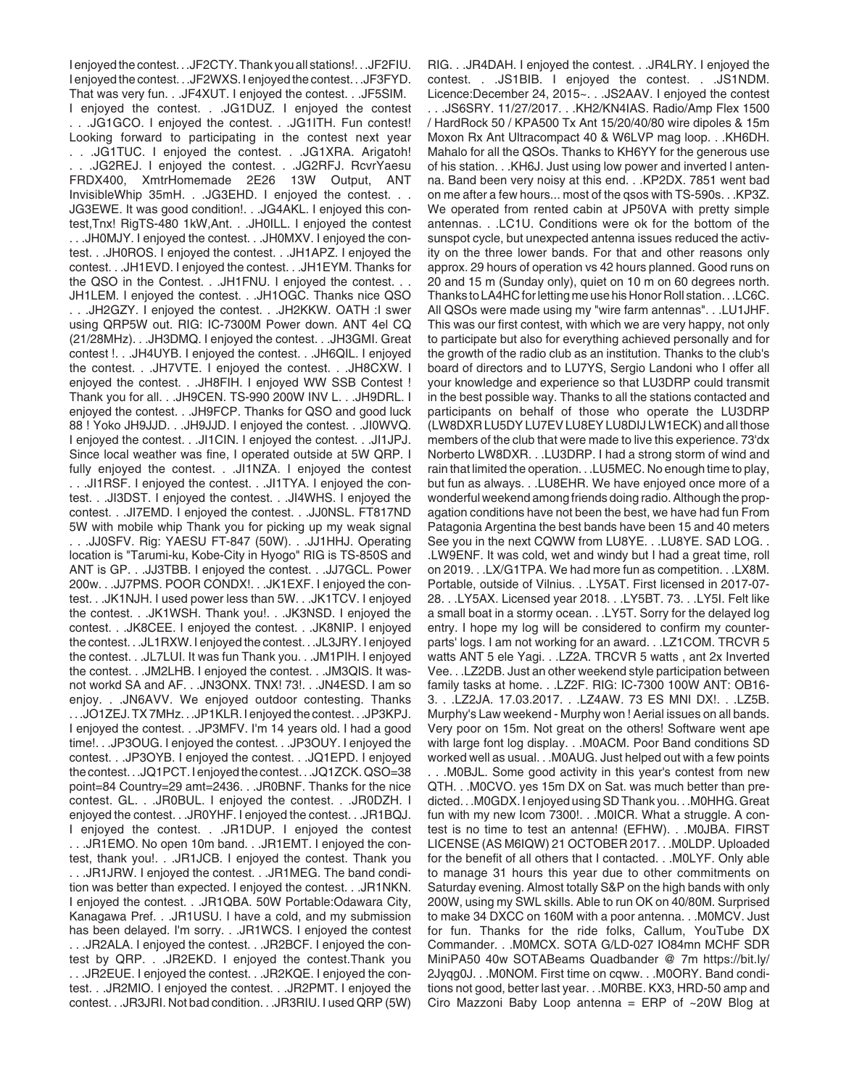I enjoyed the contest. . .JF2CTY. Thank you all stations!. . .JF2FIU. I enjoyed the contest. . .JF2WXS. I enjoyed the contest. . .JF3FYD. That was very fun. . .JF4XUT. I enjoyed the contest. . .JF5SIM. I enjoyed the contest. . .JG1DUZ. I enjoyed the contest . . .JG1GCO. I enjoyed the contest. . .JG1ITH. Fun contest! Looking forward to participating in the contest next year . . .JG1TUC. I enjoyed the contest. . .JG1XRA. Arigatoh! . . .JG2REJ. I enjoyed the contest. . .JG2RFJ. RcvrYaesu FRDX400, XmtrHomemade 2E26 13W Output, ANT InvisibleWhip 35mH. . .JG3EHD. I enjoyed the contest. . . JG3EWE. It was good condition!. . .JG4AKL. I enjoyed this contest,Tnx! RigTS-480 1kW,Ant. . .JH0ILL. I enjoyed the contest . . .JH0MJY. I enjoyed the contest. . .JH0MXV. I enjoyed the contest. . .JH0ROS. I enjoyed the contest. . .JH1APZ. I enjoyed the contest. . .JH1EVD. I enjoyed the contest. . .JH1EYM. Thanks for the QSO in the Contest. . .JH1FNU. I enjoyed the contest. . . JH1LEM. I enjoyed the contest. . .JH1OGC. Thanks nice QSO . . .JH2GZY. I enjoyed the contest. . .JH2KKW. OATH :I swer using QRP5W out. RIG: IC-7300M Power down. ANT 4el CQ (21/28MHz). . .JH3DMQ. I enjoyed the contest. . .JH3GMI. Great contest !. . .JH4UYB. I enjoyed the contest. . .JH6QIL. I enjoyed the contest. . .JH7VTE. I enjoyed the contest. . .JH8CXW. I enjoyed the contest. . .JH8FIH. I enjoyed WW SSB Contest ! Thank you for all. . .JH9CEN. TS-990 200W INV L. . .JH9DRL. I enjoyed the contest. . .JH9FCP. Thanks for QSO and good luck 88 ! Yoko JH9JJD. . .JH9JJD. I enjoyed the contest. . .JI0WVQ. I enjoyed the contest. . .JI1CIN. I enjoyed the contest. . .JI1JPJ. Since local weather was fine, I operated outside at 5W QRP. I fully enjoyed the contest. . .JI1NZA. I enjoyed the contest . . .JI1RSF. I enjoyed the contest. . .JI1TYA. I enjoyed the contest. . .JI3DST. I enjoyed the contest. . .JI4WHS. I enjoyed the contest. . .JI7EMD. I enjoyed the contest. . .JJ0NSL. FT817ND 5W with mobile whip Thank you for picking up my weak signal . . .JJ0SFV. Rig: YAESU FT-847 (50W). . .JJ1HHJ. Operating location is "Tarumi-ku, Kobe-City in Hyogo" RIG is TS-850S and ANT is GP. . .JJ3TBB. I enjoyed the contest. . .JJ7GCL. Power 200w. . .JJ7PMS. POOR CONDX!. . .JK1EXF. I enjoyed the contest. . .JK1NJH. I used power less than 5W. . .JK1TCV. I enjoyed the contest. . .JK1WSH. Thank you!. . .JK3NSD. I enjoyed the contest. . .JK8CEE. I enjoyed the contest. . .JK8NIP. I enjoyed the contest. . .JL1RXW. I enjoyed the contest. . .JL3JRY. I enjoyed the contest. . .JL7LUI. It was fun Thank you. . .JM1PIH. I enjoyed the contest. . .JM2LHB. I enjoyed the contest. . .JM3QIS. It wasnot workd SA and AF. . .JN3ONX. TNX! 73!. . .JN4ESD. I am so enjoy. . .JN6AVV. We enjoyed outdoor contesting. Thanks . . .JO1ZEJ. TX 7MHz. . .JP1KLR. I enjoyed the contest. . .JP3KPJ. I enjoyed the contest. . .JP3MFV. I'm 14 years old. I had a good time!. . .JP3OUG. I enjoyed the contest. . .JP3OUY. I enjoyed the contest. . .JP3OYB. I enjoyed the contest. . .JQ1EPD. I enjoyed the contest. . .JQ1PCT. I enjoyed the contest. . .JQ1ZCK. QSO=38 point=84 Country=29 amt=2436. . .JR0BNF. Thanks for the nice contest. GL. . .JR0BUL. I enjoyed the contest. . .JR0DZH. I enjoyed the contest. . .JR0YHF. I enjoyed the contest. . .JR1BQJ. I enjoyed the contest. . .JR1DUP. I enjoyed the contest . . .JR1EMO. No open 10m band. . .JR1EMT. I enjoyed the contest, thank you!. . .JR1JCB. I enjoyed the contest. Thank you . . .JR1JRW. I enjoyed the contest. . .JR1MEG. The band condition was better than expected. I enjoyed the contest. . .JR1NKN. I enjoyed the contest. . .JR1QBA. 50W Portable:Odawara City, Kanagawa Pref. . .JR1USU. I have a cold, and my submission has been delayed. I'm sorry. . .JR1WCS. I enjoyed the contest . . .JR2ALA. I enjoyed the contest. . .JR2BCF. I enjoyed the contest by QRP. . .JR2EKD. I enjoyed the contest.Thank you . . .JR2EUE. I enjoyed the contest. . .JR2KQE. I enjoyed the contest. . .JR2MIO. I enjoyed the contest. . .JR2PMT. I enjoyed the contest. . .JR3JRI. Not bad condition. . .JR3RIU. I used QRP (5W)

RIG. . .JR4DAH. I enjoyed the contest. . .JR4LRY. I enjoyed the contest. . .JS1BIB. I enjoyed the contest. . .JS1NDM. Licence:December 24, 2015~. . .JS2AAV. I enjoyed the contest . . .JS6SRY. 11/27/2017. . .KH2/KN4IAS. Radio/Amp Flex 1500 / HardRock 50 / KPA500 Tx Ant 15/20/40/80 wire dipoles & 15m Moxon Rx Ant Ultracompact 40 & W6LVP mag loop. . .KH6DH. Mahalo for all the QSOs. Thanks to KH6YY for the generous use of his station. . .KH6J. Just using low power and inverted l antenna. Band been very noisy at this end. . .KP2DX. 7851 went bad on me after a few hours... most of the qsos with TS-590s. . .KP3Z. We operated from rented cabin at JP50VA with pretty simple antennas. . .LC1U. Conditions were ok for the bottom of the sunspot cycle, but unexpected antenna issues reduced the activity on the three lower bands. For that and other reasons only approx. 29 hours of operation vs 42 hours planned. Good runs on 20 and 15 m (Sunday only), quiet on 10 m on 60 degrees north. Thanks to LA4HC for letting me use his Honor Roll station. . .LC6C. All QSOs were made using my "wire farm antennas". . .LU1JHF. This was our first contest, with which we are very happy, not only to participate but also for everything achieved personally and for the growth of the radio club as an institution. Thanks to the club's board of directors and to LU7YS, Sergio Landoni who I offer all your knowledge and experience so that LU3DRP could transmit in the best possible way. Thanks to all the stations contacted and participants on behalf of those who operate the LU3DRP (LW8DXR LU5DY LU7EV LU8EY LU8DIJ LW1ECK) and all those members of the club that were made to live this experience. 73'dx Norberto LW8DXR. . .LU3DRP. I had a strong storm of wind and rain that limited the operation. . .LU5MEC. No enough time to play, but fun as always. . .LU8EHR. We have enjoyed once more of a wonderful weekend among friends doing radio. Although the propagation conditions have not been the best, we have had fun From Patagonia Argentina the best bands have been 15 and 40 meters See you in the next CQWW from LU8YE. . .LU8YE. SAD LOG. . .LW9ENF. It was cold, wet and windy but I had a great time, roll on 2019. . .LX/G1TPA. We had more fun as competition. . .LX8M. Portable, outside of Vilnius. . .LY5AT. First licensed in 2017-07- 28. . .LY5AX. Licensed year 2018. . .LY5BT. 73. . .LY5I. Felt like a small boat in a stormy ocean. . .LY5T. Sorry for the delayed log entry. I hope my log will be considered to confirm my counterparts' logs. I am not working for an award. . .LZ1COM. TRCVR 5 watts ANT 5 ele Yagi. . . LZ2A. TRCVR 5 watts, ant 2x Inverted Vee. . .LZ2DB. Just an other weekend style participation between family tasks at home. . .LZ2F. RIG: IC-7300 100W ANT: OB16- 3. . .LZ2JA. 17.03.2017. . .LZ4AW. 73 ES MNI DX!. . .LZ5B. Murphy's Law weekend - Murphy won ! Aerial issues on all bands. Very poor on 15m. Not great on the others! Software went ape with large font log display. . .M0ACM. Poor Band conditions SD worked well as usual. . .M0AUG. Just helped out with a few points . . .M0BJL. Some good activity in this year's contest from new QTH. . .M0CVO. yes 15m DX on Sat. was much better than predicted. . .M0GDX. I enjoyed using SD Thank you. . .M0HHG. Great fun with my new Icom 7300!. . .M0ICR. What a struggle. A contest is no time to test an antenna! (EFHW). . .M0JBA. FIRST LICENSE (AS M6IQW) 21 OCTOBER 2017. . .M0LDP. Uploaded for the benefit of all others that I contacted. . .M0LYF. Only able to manage 31 hours this year due to other commitments on Saturday evening. Almost totally S&P on the high bands with only 200W, using my SWL skills. Able to run OK on 40/80M. Surprised to make 34 DXCC on 160M with a poor antenna. . .M0MCV. Just for fun. Thanks for the ride folks, Callum, YouTube DX Commander. . .M0MCX. SOTA G/LD-027 IO84mn MCHF SDR MiniPA50 40w SOTABeams Quadbander @ 7m https://bit.ly/ 2Jyqg0J. . .M0NOM. First time on cqww. . .M0ORY. Band condi-

tions not good, better last year. . .M0RBE. KX3, HRD-50 amp and Ciro Mazzoni Baby Loop antenna = ERP of  $\sim$ 20W Blog at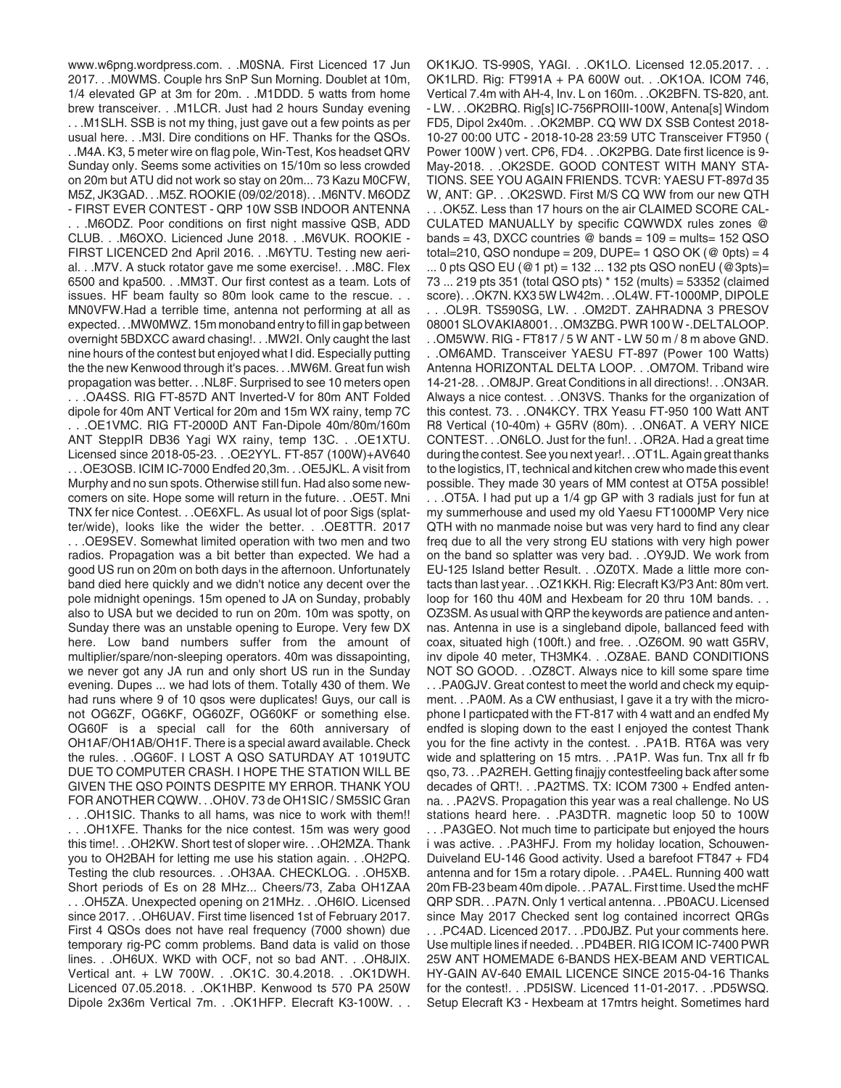www.w6png.wordpress.com. . .M0SNA. First Licenced 17 Jun 2017. . .M0WMS. Couple hrs SnP Sun Morning. Doublet at 10m, 1/4 elevated GP at 3m for 20m. . .M1DDD. 5 watts from home brew transceiver. . .M1LCR. Just had 2 hours Sunday evening . . .M1SLH. SSB is not my thing, just gave out a few points as per usual here. . .M3I. Dire conditions on HF. Thanks for the QSOs. . .M4A. K3, 5 meter wire on flag pole, Win-Test, Kos headset QRV Sunday only. Seems some activities on 15/10m so less crowded on 20m but ATU did not work so stay on 20m... 73 Kazu M0CFW, M5Z, JK3GAD. . .M5Z. ROOKIE (09/02/2018). . .M6NTV. M6ODZ - FIRST EVER CONTEST - QRP 10W SSB INDOOR ANTENNA . . .M6ODZ. Poor conditions on first night massive QSB, ADD CLUB. . .M6OXO. Licienced June 2018. . .M6VUK. ROOKIE - FIRST LICENCED 2nd April 2016. . .M6YTU. Testing new aerial. . .M7V. A stuck rotator gave me some exercise!. . .M8C. Flex 6500 and kpa500. . .MM3T. Our first contest as a team. Lots of issues. HF beam faulty so 80m look came to the rescue. . . MN0VFW.Had a terrible time, antenna not performing at all as expected. . .MW0MWZ. 15m monoband entry to fill in gap between overnight 5BDXCC award chasing!. . .MW2I. Only caught the last nine hours of the contest but enjoyed what I did. Especially putting the the new Kenwood through it's paces. . .MW6M. Great fun wish propagation was better. . .NL8F. Surprised to see 10 meters open . . .OA4SS. RIG FT-857D ANT Inverted-V for 80m ANT Folded dipole for 40m ANT Vertical for 20m and 15m WX rainy, temp 7C . . .OE1VMC. RIG FT-2000D ANT Fan-Dipole 40m/80m/160m ANT SteppIR DB36 Yagi WX rainy, temp 13C. . .OE1XTU. Licensed since 2018-05-23. . .OE2YYL. FT-857 (100W)+AV640 . . .OE3OSB. ICIM IC-7000 Endfed 20,3m. . .OE5JKL. A visit from Murphy and no sun spots. Otherwise still fun. Had also some newcomers on site. Hope some will return in the future. . .OE5T. Mni TNX fer nice Contest. . .OE6XFL. As usual lot of poor Sigs (splatter/wide), looks like the wider the better. . .OE8TTR. 2017 . . .OE9SEV. Somewhat limited operation with two men and two radios. Propagation was a bit better than expected. We had a good US run on 20m on both days in the afternoon. Unfortunately band died here quickly and we didn't notice any decent over the pole midnight openings. 15m opened to JA on Sunday, probably also to USA but we decided to run on 20m. 10m was spotty, on Sunday there was an unstable opening to Europe. Very few DX here. Low band numbers suffer from the amount of multiplier/spare/non-sleeping operators. 40m was dissapointing, we never got any JA run and only short US run in the Sunday evening. Dupes ... we had lots of them. Totally 430 of them. We had runs where 9 of 10 gsos were duplicates! Guys, our call is not OG6ZF, OG6KF, OG60ZF, OG60KF or something else. OG60F is a special call for the 60th anniversary of OH1AF/OH1AB/OH1F. There is a special award available. Check the rules. . .OG60F. I LOST A QSO SATURDAY AT 1019UTC DUE TO COMPUTER CRASH. I HOPE THE STATION WILL BE GIVEN THE QSO POINTS DESPITE MY ERROR. THANK YOU FOR ANOTHER CQWW. . .OH0V. 73 de OH1SIC / SM5SIC Gran . . .OH1SIC. Thanks to all hams, was nice to work with them!! . . .OH1XFE. Thanks for the nice contest. 15m was wery good this time!. . .OH2KW. Short test of sloper wire. . .OH2MZA. Thank you to OH2BAH for letting me use his station again. . .OH2PQ. Testing the club resources. . .OH3AA. CHECKLOG. . .OH5XB. Short periods of Es on 28 MHz... Cheers/73, Zaba OH1ZAA . . .OH5ZA. Unexpected opening on 21MHz. . .OH6IO. Licensed since 2017. . .OH6UAV. First time lisenced 1st of February 2017. First 4 QSOs does not have real frequency (7000 shown) due temporary rig-PC comm problems. Band data is valid on those lines. . .OH6UX. WKD with OCF, not so bad ANT. . .OH8JIX. Vertical ant. + LW 700W. . .OK1C. 30.4.2018. . .OK1DWH. Licenced 07.05.2018. . .OK1HBP. Kenwood ts 570 PA 250W Dipole 2x36m Vertical 7m. . .OK1HFP. Elecraft K3-100W. . .

OK1KJO. TS-990S, YAGI. . .OK1LO. Licensed 12.05.2017. . . OK1LRD. Rig: FT991A + PA 600W out. . .OK1OA. ICOM 746, Vertical 7.4m with AH-4, Inv. L on 160m. . .OK2BFN. TS-820, ant. - LW. . .OK2BRQ. Rig[s] IC-756PROIII-100W, Antena[s] Windom FD5, Dipol 2x40m. . .OK2MBP. CQ WW DX SSB Contest 2018- 10-27 00:00 UTC - 2018-10-28 23:59 UTC Transceiver FT950 ( Power 100W ) vert. CP6, FD4. . .OK2PBG. Date first licence is 9- May-2018. . .OK2SDE. GOOD CONTEST WITH MANY STA-TIONS. SEE YOU AGAIN FRIENDS. TCVR: YAESU FT-897d 35 W, ANT: GP. . .OK2SWD. First M/S CQ WW from our new QTH . . .OK5Z. Less than 17 hours on the air CLAIMED SCORE CAL-CULATED MANUALLY by specific CQWWDX rules zones @ bands = 43, DXCC countries  $\textcircled{e}$  bands = 109 = mults= 152 QSO total=210, QSO nondupe = 209, DUPE= 1 QSO OK ( $@$  0pts) = 4  $\ldots$  0 pts QSO EU (@1 pt) = 132  $\ldots$  132 pts QSO nonEU (@3pts)= 73 ... 219 pts 351 (total QSO pts) \* 152 (mults) = 53352 (claimed score). . .OK7N. KX3 5W LW42m. . .OL4W. FT-1000MP, DIPOLE . . .OL9R. TS590SG, LW. . .OM2DT. ZAHRADNA 3 PRESOV 08001 SLOVAKIA8001. . .OM3ZBG. PWR 100 W -.DELTALOOP. . .OM5WW. RIG - FT817 / 5 W ANT - LW 50 m / 8 m above GND. . .OM6AMD. Transceiver YAESU FT-897 (Power 100 Watts) Antenna HORIZONTAL DELTA LOOP. . .OM7OM. Triband wire 14-21-28. . .OM8JP. Great Conditions in all directions!. . .ON3AR. Always a nice contest. . .ON3VS. Thanks for the organization of this contest. 73. . .ON4KCY. TRX Yeasu FT-950 100 Watt ANT R8 Vertical (10-40m) + G5RV (80m). . .ON6AT. A VERY NICE CONTEST. . .ON6LO. Just for the fun!. . .OR2A. Had a great time during the contest. See you next year!. . .OT1L. Again great thanks to the logistics, IT, technical and kitchen crew who made this event possible. They made 30 years of MM contest at OT5A possible! . . .OT5A. I had put up a 1/4 gp GP with 3 radials just for fun at my summerhouse and used my old Yaesu FT1000MP Very nice QTH with no manmade noise but was very hard to find any clear freq due to all the very strong EU stations with very high power on the band so splatter was very bad. . .OY9JD. We work from EU-125 Island better Result. . .OZ0TX. Made a little more contacts than last year. . .OZ1KKH. Rig: Elecraft K3/P3 Ant: 80m vert. loop for 160 thu 40M and Hexbeam for 20 thru 10M bands. . . OZ3SM. As usual with QRP the keywords are patience and antennas. Antenna in use is a singleband dipole, ballanced feed with coax, situated high (100ft.) and free. . .OZ6OM. 90 watt G5RV, inv dipole 40 meter, TH3MK4. . .OZ8AE. BAND CONDITIONS NOT SO GOOD. . .OZ8CT. Always nice to kill some spare time . . .PA0GJV. Great contest to meet the world and check my equipment. . .PA0M. As a CW enthusiast, I gave it a try with the microphone I particpated with the FT-817 with 4 watt and an endfed My endfed is sloping down to the east I enjoyed the contest Thank you for the fine activty in the contest. . .PA1B. RT6A was very wide and splattering on 15 mtrs. . .PA1P. Was fun. Tnx all fr fb qso, 73. . .PA2REH. Getting finajjy contestfeeling back after some decades of QRT!. . .PA2TMS. TX: ICOM 7300 + Endfed antenna. . .PA2VS. Propagation this year was a real challenge. No US stations heard here. . .PA3DTR. magnetic loop 50 to 100W . . .PA3GEO. Not much time to participate but enjoyed the hours i was active. . .PA3HFJ. From my holiday location, Schouwen-Duiveland EU-146 Good activity. Used a barefoot FT847 + FD4 antenna and for 15m a rotary dipole. . .PA4EL. Running 400 watt 20m FB-23 beam 40m dipole. . .PA7AL. First time. Used the mcHF QRP SDR. . .PA7N. Only 1 vertical antenna. . .PB0ACU. Licensed since May 2017 Checked sent log contained incorrect QRGs . . .PC4AD. Licenced 2017. . .PD0JBZ. Put your comments here. Use multiple lines if needed. . .PD4BER. RIG ICOM IC-7400 PWR 25W ANT HOMEMADE 6-BANDS HEX-BEAM AND VERTICAL HY-GAIN AV-640 EMAIL LICENCE SINCE 2015-04-16 Thanks for the contest!. . .PD5ISW. Licenced 11-01-2017. . .PD5WSQ. Setup Elecraft K3 - Hexbeam at 17mtrs height. Sometimes hard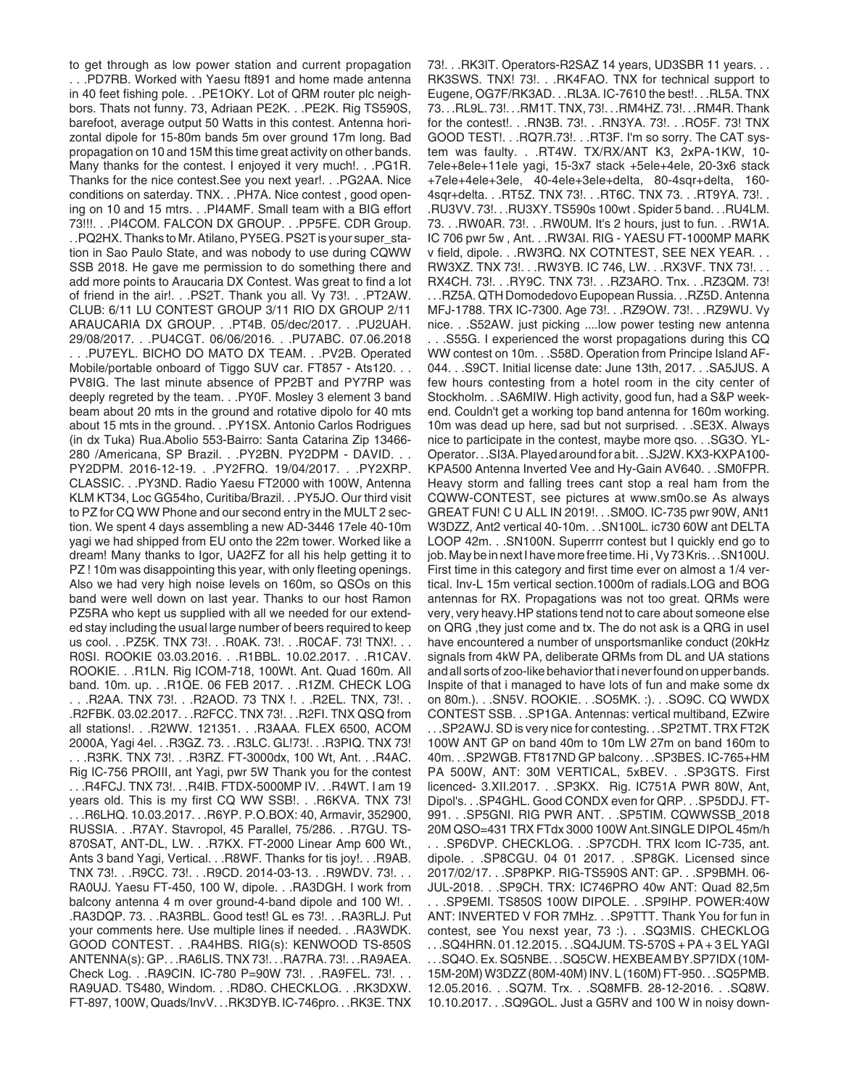to get through as low power station and current propagation . . .PD7RB. Worked with Yaesu ft891 and home made antenna in 40 feet fishing pole. . .PE1OKY. Lot of QRM router plc neighbors. Thats not funny. 73, Adriaan PE2K. . .PE2K. Rig TS590S, barefoot, average output 50 Watts in this contest. Antenna horizontal dipole for 15-80m bands 5m over ground 17m long. Bad propagation on 10 and 15M this time great activity on other bands. Many thanks for the contest. I enjoyed it very much!. . .PG1R. Thanks for the nice contest.See you next year!. . .PG2AA. Nice conditions on saterday. TNX. . .PH7A. Nice contest , good opening on 10 and 15 mtrs. . .PI4AMF. Small team with a BIG effort 73!!!. . .PI4COM. FALCON DX GROUP. . .PP5FE. CDR Group. . .PQ2HX. Thanks to Mr. Atilano, PY5EG. PS2T is your super\_station in Sao Paulo State, and was nobody to use during CQWW SSB 2018. He gave me permission to do something there and add more points to Araucaria DX Contest. Was great to find a lot of friend in the air!. . .PS2T. Thank you all. Vy 73!. . .PT2AW. CLUB: 6/11 LU CONTEST GROUP 3/11 RIO DX GROUP 2/11 ARAUCARIA DX GROUP. . .PT4B. 05/dec/2017. . .PU2UAH. 29/08/2017. . .PU4CGT. 06/06/2016. . .PU7ABC. 07.06.2018 . . .PU7EYL. BICHO DO MATO DX TEAM. . .PV2B. Operated Mobile/portable onboard of Tiggo SUV car. FT857 - Ats120. . . PV8IG. The last minute absence of PP2BT and PY7RP was deeply regreted by the team. . .PY0F. Mosley 3 element 3 band beam about 20 mts in the ground and rotative dipolo for 40 mts about 15 mts in the ground. . .PY1SX. Antonio Carlos Rodrigues (in dx Tuka) Rua.Abolio 553-Bairro: Santa Catarina Zip 13466- 280 /Americana, SP Brazil. . .PY2BN. PY2DPM - DAVID. . . PY2DPM. 2016-12-19. . .PY2FRQ. 19/04/2017. . .PY2XRP. CLASSIC. . .PY3ND. Radio Yaesu FT2000 with 100W, Antenna KLM KT34, Loc GG54ho, Curitiba/Brazil. . .PY5JO. Our third visit to PZ for CQ WW Phone and our second entry in the MULT 2 section. We spent 4 days assembling a new AD-3446 17ele 40-10m yagi we had shipped from EU onto the 22m tower. Worked like a dream! Many thanks to Igor, UA2FZ for all his help getting it to PZ ! 10m was disappointing this year, with only fleeting openings. Also we had very high noise levels on 160m, so QSOs on this band were well down on last year. Thanks to our host Ramon PZ5RA who kept us supplied with all we needed for our extended stay including the usual large number of beers required to keep us cool. . .PZ5K. TNX 73!. . .R0AK. 73!. . .R0CAF. 73! TNX!. . . R0SI. ROOKIE 03.03.2016. . .R1BBL. 10.02.2017. . .R1CAV. ROOKIE. . .R1LN. Rig ICOM-718, 100Wt. Ant. Quad 160m. All band. 10m. up. . .R1QE. 06 FEB 2017. . .R1ZM. CHECK LOG . . .R2AA. TNX 73!. . .R2AOD. 73 TNX !. . .R2EL. TNX, 73!. . .R2FBK. 03.02.2017. . .R2FCC. TNX 73!. . .R2FI. TNX QSQ from all stations!. . .R2WW. 121351. . .R3AAA. FLEX 6500, ACOM 2000A, Yagi 4el. . .R3GZ. 73. . .R3LC. GL!73!. . .R3PIQ. TNX 73! . . .R3RK. TNX 73!. . .R3RZ. FT-3000dx, 100 Wt, Ant. . .R4AC. Rig IC-756 PROIII, ant Yagi, pwr 5W Thank you for the contest . . .R4FCJ. TNX 73!. . .R4IB. FTDX-5000MP IV. . .R4WT. I am 19 years old. This is my first CQ WW SSB!. . .R6KVA. TNX 73! . . .R6LHQ. 10.03.2017. . .R6YP. P.O.BOX: 40, Armavir, 352900, RUSSIA. . .R7AY. Stavropol, 45 Parallel, 75/286. . .R7GU. TS-870SAT, ANT-DL, LW. . .R7KX. FT-2000 Linear Amp 600 Wt., Ants 3 band Yagi, Vertical. . .R8WF. Thanks for tis joy!. . .R9AB. TNX 73!. . .R9CC. 73!. . .R9CD. 2014-03-13. . .R9WDV. 73!. . . RA0UJ. Yaesu FT-450, 100 W, dipole. . .RA3DGH. I work from balcony antenna 4 m over ground-4-band dipole and 100 W!. . .RA3DQP. 73. . .RA3RBL. Good test! GL es 73!. . .RA3RLJ. Put your comments here. Use multiple lines if needed. . .RA3WDK. GOOD CONTEST. . .RA4HBS. RIG(s): KENWOOD TS-850S ANTENNA(s): GP. . .RA6LIS. TNX 73!. . .RA7RA. 73!. . .RA9AEA. Check Log. . .RA9CIN. IC-780 P=90W 73!. . .RA9FEL. 73!. . . RA9UAD. TS480, Windom. . .RD8O. CHECKLOG. . .RK3DXW. FT-897, 100W, Quads/InvV. . .RK3DYB. IC-746pro. . .RK3E. TNX

73!. . .RK3IT. Operators-R2SAZ 14 years, UD3SBR 11 years. . . RK3SWS. TNX! 73!. . .RK4FAO. TNX for technical support to Eugene, OG7F/RK3AD. . .RL3A. IC-7610 the best!. . .RL5A. TNX 73. . .RL9L. 73!. . .RM1T. TNX, 73!. . .RM4HZ. 73!. . .RM4R. Thank for the contest!. . .RN3B. 73!. . .RN3YA. 73!. . .RO5F. 73! TNX GOOD TEST!. . .RQ7R.73!. . .RT3F. I'm so sorry. The CAT system was faulty. . .RT4W. TX/RX/ANT K3, 2xPA-1KW, 10- 7ele+8ele+11ele yagi, 15-3x7 stack +5ele+4ele, 20-3x6 stack +7ele+4ele+3ele, 40-4ele+3ele+delta, 80-4sqr+delta, 160- 4sqr+delta. . .RT5Z. TNX 73!. . .RT6C. TNX 73. . .RT9YA. 73!. . .RU3VV. 73!. . .RU3XY. TS590s 100wt . Spider 5 band. . .RU4LM. 73. . .RW0AR. 73!. . .RW0UM. It's 2 hours, just to fun. . .RW1A. IC 706 pwr 5w , Ant. . .RW3AI. RIG - YAESU FT-1000MP MARK v field, dipole. . .RW3RQ. NX COTNTEST, SEE NEX YEAR. . . RW3XZ. TNX 73!. . .RW3YB. IC 746, LW. . .RX3VF. TNX 73!. . . RX4CH. 73!. . .RY9C. TNX 73!. . .RZ3ARO. Tnx. . .RZ3QM. 73! . . .RZ5A. QTH Domodedovo Eupopean Russia. . .RZ5D. Antenna MFJ-1788. TRX IC-7300. Age 73!. . .RZ9OW. 73!. . .RZ9WU. Vy nice. . .S52AW. just picking ....low power testing new antenna . . .S55G. I experienced the worst propagations during this CQ WW contest on 10m. . .S58D. Operation from Principe Island AF-044. . .S9CT. Initial license date: June 13th, 2017. . .SA5JUS. A few hours contesting from a hotel room in the city center of Stockholm. . .SA6MIW. High activity, good fun, had a S&P weekend. Couldn't get a working top band antenna for 160m working. 10m was dead up here, sad but not surprised. . .SE3X. Always nice to participate in the contest, maybe more qso. . .SG3O. YL-Operator. . .SI3A. Played around for a bit. . .SJ2W. KX3-KXPA100- KPA500 Antenna Inverted Vee and Hy-Gain AV640. . .SM0FPR. Heavy storm and falling trees cant stop a real ham from the CQWW-CONTEST, see pictures at www.sm0o.se As always GREAT FUN! C U ALL IN 2019!. . .SM0O. IC-735 pwr 90W, ANt1 W3DZZ, Ant2 vertical 40-10m. . .SN100L. ic730 60W ant DELTA LOOP 42m. . .SN100N. Superrrr contest but I quickly end go to job. May be in next I have more free time. Hi , Vy 73 Kris. . .SN100U. First time in this category and first time ever on almost a 1/4 vertical. Inv-L 15m vertical section.1000m of radials.LOG and BOG antennas for RX. Propagations was not too great. QRMs were very, very heavy.HP stations tend not to care about someone else on QRG, they just come and tx. The do not ask is a QRG in usel have encountered a number of unsportsmanlike conduct (20kHz signals from 4kW PA, deliberate QRMs from DL and UA stations and all sorts of zoo-like behavior that i never found on upper bands. Inspite of that i managed to have lots of fun and make some dx on 80m.). . .SN5V. ROOKIE. . .SO5MK. :). . .SO9C. CQ WWDX CONTEST SSB. . .SP1GA. Antennas: vertical multiband, EZwire . . .SP2AWJ. SD is very nice for contesting. . .SP2TMT. TRX FT2K 100W ANT GP on band 40m to 10m LW 27m on band 160m to 40m. . .SP2WGB. FT817ND GP balcony. . .SP3BES. IC-765+HM PA 500W, ANT: 30M VERTICAL, 5xBEV. . .SP3GTS. First licenced- 3.XII.2017. . .SP3KX. Rig. IC751A PWR 80W, Ant, Dipol's. . .SP4GHL. Good CONDX even for QRP. . .SP5DDJ. FT-991. . .SP5GNI. RIG PWR ANT. . .SP5TIM. CQWWSSB\_2018 20M QSO=431 TRX FTdx 3000 100W Ant.SINGLE DIPOL 45m/h . . .SP6DVP. CHECKLOG. . .SP7CDH. TRX Icom IC-735, ant. dipole. . .SP8CGU. 04 01 2017. . .SP8GK. Licensed since 2017/02/17. . .SP8PKP. RIG-TS590S ANT: GP. . .SP9BMH. 06- JUL-2018. . .SP9CH. TRX: IC746PRO 40w ANT: Quad 82,5m . . .SP9EMI. TS850S 100W DIPOLE. . .SP9IHP. POWER:40W ANT: INVERTED V FOR 7MHz. . .SP9TTT. Thank You for fun in contest, see You nexst year, 73 :). . .SQ3MIS. CHECKLOG . . .SQ4HRN. 01.12.2015. . .SQ4JUM. TS-570S + PA + 3 EL YAGI . . .SQ4O. Ex. SQ5NBE. . .SQ5CW. HEXBEAM BY.SP7IDX (10M-15M-20M) W3DZZ (80M-40M) INV. L (160M) FT-950. . .SQ5PMB. 12.05.2016. . .SQ7M. Trx. . .SQ8MFB. 28-12-2016. . .SQ8W. 10.10.2017. . .SQ9GOL. Just a G5RV and 100 W in noisy down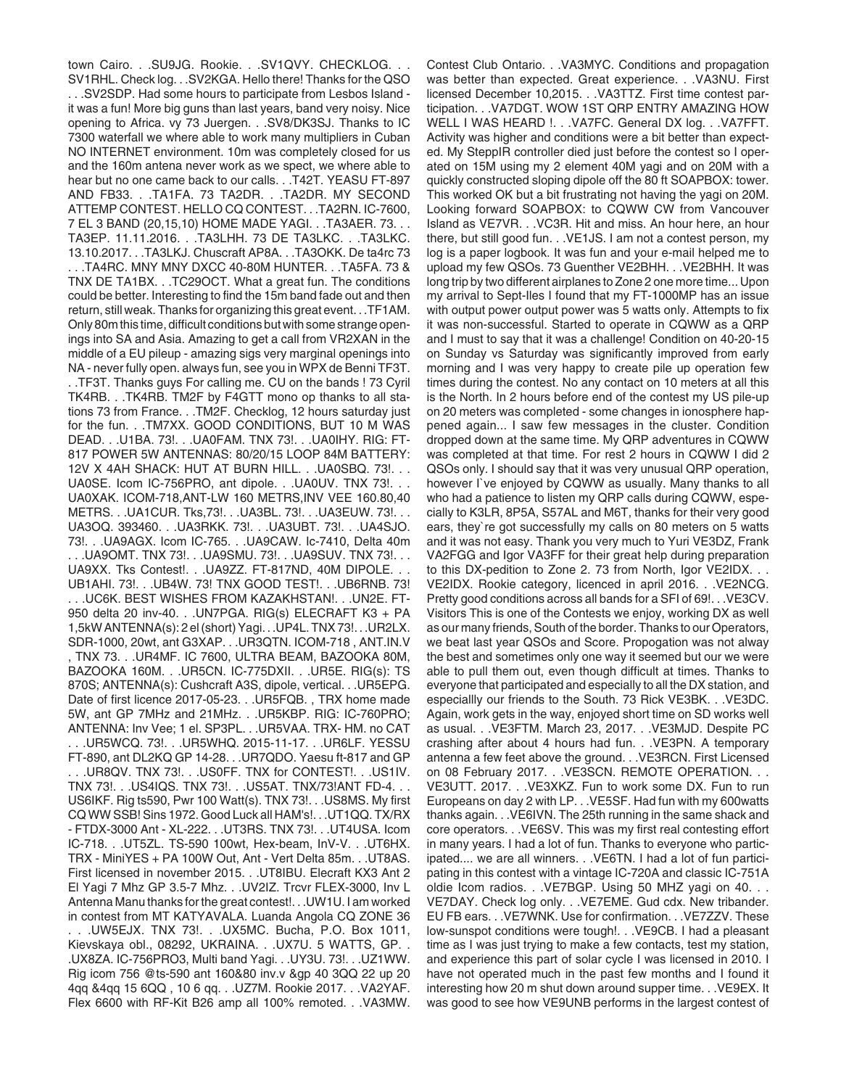town Cairo. . .SU9JG. Rookie. . .SV1QVY. CHECKLOG. . . SV1RHL. Check log. . .SV2KGA. Hello there! Thanks for the QSO . . .SV2SDP. Had some hours to participate from Lesbos Island it was a fun! More big guns than last years, band very noisy. Nice opening to Africa. vy 73 Juergen. . .SV8/DK3SJ. Thanks to IC 7300 waterfall we where able to work many multipliers in Cuban NO INTERNET environment. 10m was completely closed for us and the 160m antena never work as we spect, we where able to hear but no one came back to our calls. . .T42T. YEASU FT-897 AND FB33. . .TA1FA. 73 TA2DR. . .TA2DR. MY SECOND ATTEMP CONTEST. HELLO CQ CONTEST. . .TA2RN. IC-7600, 7 EL 3 BAND (20,15,10) HOME MADE YAGI. . .TA3AER. 73. . . TA3EP. 11.11.2016. . .TA3LHH. 73 DE TA3LKC. . .TA3LKC. 13.10.2017. . .TA3LKJ. Chuscraft AP8A. . .TA3OKK. De ta4rc 73 . . .TA4RC. MNY MNY DXCC 40-80M HUNTER. . .TA5FA. 73 & TNX DE TA1BX. . .TC29OCT. What a great fun. The conditions could be better. Interesting to find the 15m band fade out and then return, still weak. Thanks for organizing this great event. . .TF1AM. Only 80m this time, difficult conditions but with some strange openings into SA and Asia. Amazing to get a call from VR2XAN in the middle of a EU pileup - amazing sigs very marginal openings into NA - never fully open. always fun, see you in WPX de Benni TF3T. . .TF3T. Thanks guys For calling me. CU on the bands ! 73 Cyril TK4RB. . .TK4RB. TM2F by F4GTT mono op thanks to all stations 73 from France. . .TM2F. Checklog, 12 hours saturday just for the fun. . .TM7XX. GOOD CONDITIONS, BUT 10 M WAS DEAD. . .U1BA. 73!. . .UA0FAM. TNX 73!. . .UA0IHY. RIG: FT-817 POWER 5W ANTENNAS: 80/20/15 LOOP 84M BATTERY: 12V X 4AH SHACK: HUT AT BURN HILL. . .UA0SBQ. 73!. . . UA0SE. Icom IC-756PRO, ant dipole. . .UA0UV. TNX 73!. . . UA0XAK. ICOM-718,ANT-LW 160 METRS,INV VEE 160.80,40 METRS. . . UA1CUR. Tks, 73!. . . UA3BL. 73!. . . UA3EUW. 73!. . . UA3OQ. 393460. . .UA3RKK. 73!. . .UA3UBT. 73!. . .UA4SJO. 73!. . .UA9AGX. Icom IC-765. . .UA9CAW. Ic-7410, Delta 40m . . .UA9OMT. TNX 73!. . .UA9SMU. 73!. . .UA9SUV. TNX 73!. . . UA9XX. Tks Contest!. . .UA9ZZ. FT-817ND, 40M DIPOLE. . . UB1AHI. 73!. . .UB4W. 73! TNX GOOD TEST!. . .UB6RNB. 73! . . .UC6K. BEST WISHES FROM KAZAKHSTAN!. . .UN2E. FT-950 delta 20 inv-40. . .UN7PGA. RIG(s) ELECRAFT K3 + PA 1,5kW ANTENNA(s): 2 el (short) Yagi. . .UP4L. TNX 73!. . .UR2LX. SDR-1000, 20wt, ant G3XAP. . .UR3QTN. ICOM-718 , ANT.IN.V , TNX 73. . .UR4MF. IC 7600, ULTRA BEAM, BAZOOKA 80M, BAZOOKA 160M. . .UR5CN. IC-775DXII. . .UR5E. RIG(s): TS 870S; ANTENNA(s): Cushcraft A3S, dipole, vertical. . .UR5EPG. Date of first licence 2017-05-23. . .UR5FQB. , TRX home made 5W, ant GP 7MHz and 21MHz. . .UR5KBP. RIG: IC-760PRO; ANTENNA: Inv Vee; 1 el. SP3PL. . .UR5VAA. TRX- HM. no CAT . . .UR5WCQ. 73!. . .UR5WHQ. 2015-11-17. . .UR6LF. YESSU FT-890, ant DL2KQ GP 14-28. . .UR7QDO. Yaesu ft-817 and GP . . .UR8QV. TNX 73!. . .US0FF. TNX for CONTEST!. . .US1IV. TNX 73!. . .US4IQS. TNX 73!. . .US5AT. TNX/73!ANT FD-4. . . US6IKF. Rig ts590, Pwr 100 Watt(s). TNX 73!. . .US8MS. My first CQ WW SSB! Sins 1972. Good Luck all HAM's!. . .UT1QQ. TX/RX - FTDX-3000 Ant - XL-222. . .UT3RS. TNX 73!. . .UT4USA. Icom IC-718. . .UT5ZL. TS-590 100wt, Hex-beam, InV-V. . .UT6HX. TRX - MiniYES + PA 100W Out, Ant - Vert Delta 85m. . .UT8AS. First licensed in november 2015. . .UT8IBU. Elecraft KX3 Ant 2 El Yagi 7 Mhz GP 3.5-7 Mhz. . .UV2IZ. Trcvr FLEX-3000, Inv L Antenna Manu thanks for the great contest!. . .UW1U. I am worked in contest from MT KATYAVALA. Luanda Angola CQ ZONE 36 . . .UW5EJX. TNX 73!. . .UX5MC. Bucha, P.O. Box 1011, Kievskaya obl., 08292, UKRAINA. . .UX7U. 5 WATTS, GP. . .UX8ZA. IC-756PRO3, Multi band Yagi. . .UY3U. 73!. . .UZ1WW. Rig icom 756 @ts-590 ant 160&80 inv.v &gp 40 3QQ 22 up 20 4qq &4qq 15 6QQ , 10 6 qq. . .UZ7M. Rookie 2017. . .VA2YAF. Flex 6600 with RF-Kit B26 amp all 100% remoted. . .VA3MW.

Contest Club Ontario. . .VA3MYC. Conditions and propagation was better than expected. Great experience. . .VA3NU. First licensed December 10,2015. . .VA3TTZ. First time contest participation. . .VA7DGT. WOW 1ST QRP ENTRY AMAZING HOW WELL I WAS HEARD !. . .VA7FC. General DX log. . .VA7FFT. Activity was higher and conditions were a bit better than expected. My SteppIR controller died just before the contest so I operated on 15M using my 2 element 40M yagi and on 20M with a quickly constructed sloping dipole off the 80 ft SOAPBOX: tower. This worked OK but a bit frustrating not having the yagi on 20M. Looking forward SOAPBOX: to CQWW CW from Vancouver Island as VE7VR. . .VC3R. Hit and miss. An hour here, an hour there, but still good fun. . .VE1JS. I am not a contest person, my log is a paper logbook. It was fun and your e-mail helped me to upload my few QSOs. 73 Guenther VE2BHH. . .VE2BHH. It was long trip by two different airplanes to Zone 2 one more time... Upon my arrival to Sept-Iles I found that my FT-1000MP has an issue with output power output power was 5 watts only. Attempts to fix it was non-successful. Started to operate in CQWW as a QRP and I must to say that it was a challenge! Condition on 40-20-15 on Sunday vs Saturday was significantly improved from early morning and I was very happy to create pile up operation few times during the contest. No any contact on 10 meters at all this is the North. In 2 hours before end of the contest my US pile-up on 20 meters was completed - some changes in ionosphere happened again... I saw few messages in the cluster. Condition dropped down at the same time. My QRP adventures in CQWW was completed at that time. For rest 2 hours in CQWW I did 2 QSOs only. I should say that it was very unusual QRP operation, however I`ve enjoyed by CQWW as usually. Many thanks to all who had a patience to listen my QRP calls during CQWW, especially to K3LR, 8P5A, S57AL and M6T, thanks for their very good ears, they`re got successfully my calls on 80 meters on 5 watts and it was not easy. Thank you very much to Yuri VE3DZ, Frank VA2FGG and Igor VA3FF for their great help during preparation to this DX-pedition to Zone 2. 73 from North, Igor VE2IDX. . . VE2IDX. Rookie category, licenced in april 2016. . .VE2NCG. Pretty good conditions across all bands for a SFI of 69!. . .VE3CV. Visitors This is one of the Contests we enjoy, working DX as well as our many friends, South of the border. Thanks to our Operators, we beat last year QSOs and Score. Propogation was not alway the best and sometimes only one way it seemed but our we were able to pull them out, even though difficult at times. Thanks to everyone that participated and especially to all the DX station, and especiallly our friends to the South. 73 Rick VE3BK. . .VE3DC. Again, work gets in the way, enjoyed short time on SD works well as usual. . .VE3FTM. March 23, 2017. . .VE3MJD. Despite PC crashing after about 4 hours had fun. . .VE3PN. A temporary antenna a few feet above the ground. . .VE3RCN. First Licensed on 08 February 2017. . .VE3SCN. REMOTE OPERATION. . . VE3UTT. 2017. . .VE3XKZ. Fun to work some DX. Fun to run Europeans on day 2 with LP. . .VE5SF. Had fun with my 600watts thanks again. . .VE6IVN. The 25th running in the same shack and core operators. . .VE6SV. This was my first real contesting effort in many years. I had a lot of fun. Thanks to everyone who participated.... we are all winners. . .VE6TN. I had a lot of fun participating in this contest with a vintage IC-720A and classic IC-751A oldie Icom radios. . .VE7BGP. Using 50 MHZ yagi on 40. . . VE7DAY. Check log only. . .VE7EME. Gud cdx. New tribander. EU FB ears. . .VE7WNK. Use for confirmation. . .VE7ZZV. These low-sunspot conditions were tough!. . .VE9CB. I had a pleasant time as I was just trying to make a few contacts, test my station, and experience this part of solar cycle I was licensed in 2010. I have not operated much in the past few months and I found it interesting how 20 m shut down around supper time. . .VE9EX. It was good to see how VE9UNB performs in the largest contest of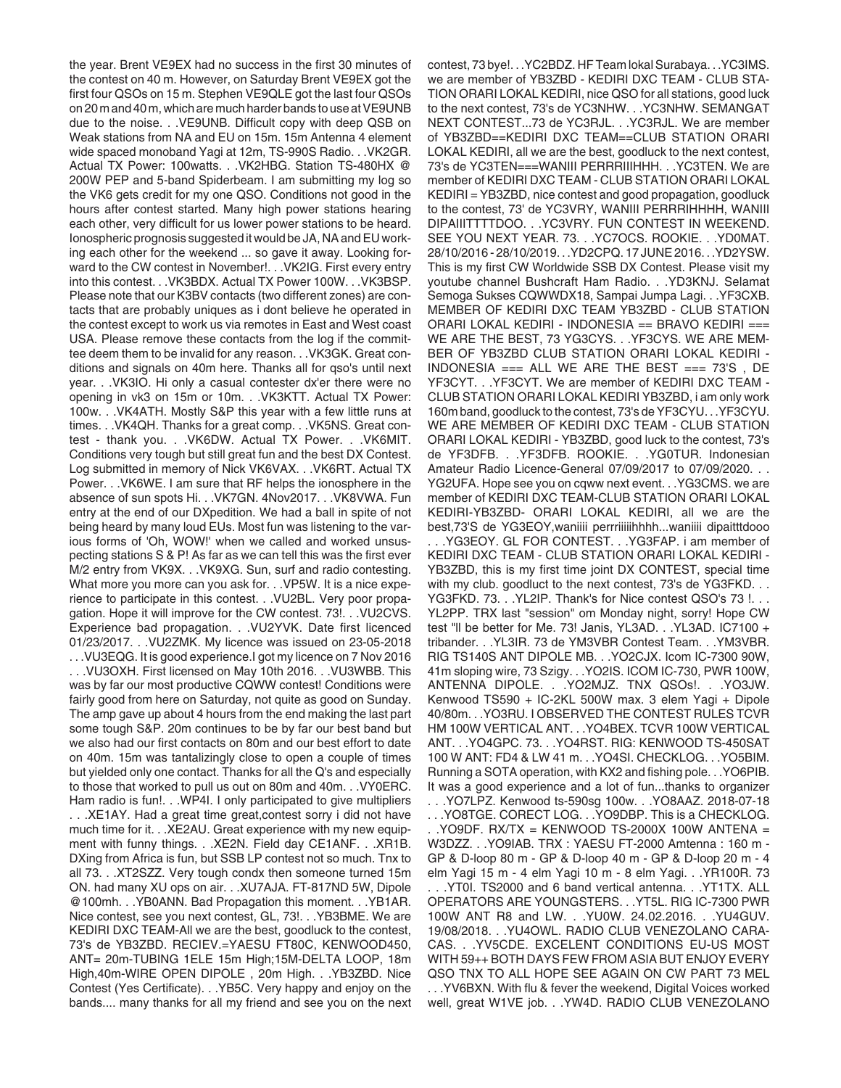the year. Brent VE9EX had no success in the first 30 minutes of the contest on 40 m. However, on Saturday Brent VE9EX got the first four QSOs on 15 m. Stephen VE9QLE got the last four QSOs on 20 m and 40 m, which are much harder bands to use at VE9UNB due to the noise. . .VE9UNB. Difficult copy with deep QSB on Weak stations from NA and EU on 15m. 15m Antenna 4 element wide spaced monoband Yagi at 12m, TS-990S Radio. . .VK2GR. Actual TX Power: 100watts. . .VK2HBG. Station TS-480HX @ 200W PEP and 5-band Spiderbeam. I am submitting my log so the VK6 gets credit for my one QSO. Conditions not good in the hours after contest started. Many high power stations hearing each other, very difficult for us lower power stations to be heard. Ionospheric prognosis suggested it would be JA, NA and EU working each other for the weekend ... so gave it away. Looking forward to the CW contest in November!. . .VK2IG. First every entry into this contest. . .VK3BDX. Actual TX Power 100W. . .VK3BSP. Please note that our K3BV contacts (two different zones) are contacts that are probably uniques as i dont believe he operated in the contest except to work us via remotes in East and West coast USA. Please remove these contacts from the log if the committee deem them to be invalid for any reason. . .VK3GK. Great conditions and signals on 40m here. Thanks all for qso's until next year. . .VK3IO. Hi only a casual contester dx'er there were no opening in vk3 on 15m or 10m. . .VK3KTT. Actual TX Power: 100w. . .VK4ATH. Mostly S&P this year with a few little runs at times. . .VK4QH. Thanks for a great comp. . .VK5NS. Great contest - thank you. . .VK6DW. Actual TX Power. . .VK6MIT. Conditions very tough but still great fun and the best DX Contest. Log submitted in memory of Nick VK6VAX. . .VK6RT. Actual TX Power. . .VK6WE. I am sure that RF helps the ionosphere in the absence of sun spots Hi. . .VK7GN. 4Nov2017. . .VK8VWA. Fun entry at the end of our DXpedition. We had a ball in spite of not being heard by many loud EUs. Most fun was listening to the various forms of 'Oh, WOW!' when we called and worked unsuspecting stations S & P! As far as we can tell this was the first ever M/2 entry from VK9X. . .VK9XG. Sun, surf and radio contesting. What more you more can you ask for. . .VP5W. It is a nice experience to participate in this contest. . .VU2BL. Very poor propagation. Hope it will improve for the CW contest. 73!. . .VU2CVS. Experience bad propagation. . .VU2YVK. Date first licenced 01/23/2017. . .VU2ZMK. My licence was issued on 23-05-2018 . . .VU3EQG. It is good experience.I got my licence on 7 Nov 2016 . . .VU3OXH. First licensed on May 10th 2016. . .VU3WBB. This was by far our most productive CQWW contest! Conditions were fairly good from here on Saturday, not quite as good on Sunday. The amp gave up about 4 hours from the end making the last part some tough S&P. 20m continues to be by far our best band but we also had our first contacts on 80m and our best effort to date on 40m. 15m was tantalizingly close to open a couple of times but yielded only one contact. Thanks for all the Q's and especially to those that worked to pull us out on 80m and 40m. . .VY0ERC. Ham radio is fun!. . .WP4I. I only participated to give multipliers . . .XE1AY. Had a great time great,contest sorry i did not have much time for it. . .XE2AU. Great experience with my new equipment with funny things. . .XE2N. Field day CE1ANF. . .XR1B. DXing from Africa is fun, but SSB LP contest not so much. Tnx to all 73. . .XT2SZZ. Very tough condx then someone turned 15m ON. had many XU ops on air. . .XU7AJA. FT-817ND 5W, Dipole @100mh. . .YB0ANN. Bad Propagation this moment. . .YB1AR. Nice contest, see you next contest, GL, 73!. . .YB3BME. We are KEDIRI DXC TEAM-All we are the best, goodluck to the contest, 73's de YB3ZBD. RECIEV.=YAESU FT80C, KENWOOD450, ANT= 20m-TUBING 1ELE 15m High;15M-DELTA LOOP, 18m High,40m-WIRE OPEN DIPOLE , 20m High. . .YB3ZBD. Nice Contest (Yes Certificate). . .YB5C. Very happy and enjoy on the bands.... many thanks for all my friend and see you on the next

contest, 73 bye!. . .YC2BDZ. HF Team lokal Surabaya. . .YC3IMS. we are member of YB3ZBD - KEDIRI DXC TEAM - CLUB STA-TION ORARI LOKAL KEDIRI, nice QSO for all stations, good luck to the next contest, 73's de YC3NHW. . .YC3NHW. SEMANGAT NEXT CONTEST...73 de YC3RJL. . .YC3RJL. We are member of YB3ZBD==KEDIRI DXC TEAM==CLUB STATION ORARI LOKAL KEDIRI, all we are the best, goodluck to the next contest, 73's de YC3TEN===WANIII PERRRIIIHHH. . .YC3TEN. We are member of KEDIRI DXC TEAM - CLUB STATION ORARI LOKAL KEDIRI = YB3ZBD, nice contest and good propagation, goodluck to the contest, 73' de YC3VRY, WANIII PERRRIHHHH, WANIII DIPAIIITTTTDOO. . .YC3VRY. FUN CONTEST IN WEEKEND. SEE YOU NEXT YEAR. 73. . .YC7OCS. ROOKIE. . .YD0MAT. 28/10/2016 - 28/10/2019. . .YD2CPQ. 17 JUNE 2016. . .YD2YSW. This is my first CW Worldwide SSB DX Contest. Please visit my youtube channel Bushcraft Ham Radio. . .YD3KNJ. Selamat Semoga Sukses CQWWDX18, Sampai Jumpa Lagi. . .YF3CXB. MEMBER OF KEDIRI DXC TEAM YB3ZBD - CLUB STATION ORARI LOKAL KEDIRI - INDONESIA == BRAVO KEDIRI === WE ARE THE BEST, 73 YG3CYS. . .YF3CYS. WE ARE MEM-BER OF YB3ZBD CLUB STATION ORARI LOKAL KEDIRI - INDONESIA === ALL WE ARE THE BEST === 73'S , DE YF3CYT. . .YF3CYT. We are member of KEDIRI DXC TEAM - CLUB STATION ORARI LOKAL KEDIRI YB3ZBD, i am only work 160m band, goodluck to the contest, 73's de YF3CYU. . .YF3CYU. WE ARE MEMBER OF KEDIRI DXC TEAM - CLUB STATION ORARI LOKAL KEDIRI - YB3ZBD, good luck to the contest, 73's de YF3DFB. . .YF3DFB. ROOKIE. . .YG0TUR. Indonesian Amateur Radio Licence-General 07/09/2017 to 07/09/2020. . . YG2UFA. Hope see you on cqww next event. . .YG3CMS. we are member of KEDIRI DXC TEAM-CLUB STATION ORARI LOKAL KEDIRI-YB3ZBD- ORARI LOKAL KEDIRI, all we are the best,73'S de YG3EOY,waniiii perrriiiiihhhh...waniiii dipaitttdooo . . .YG3EOY. GL FOR CONTEST. . .YG3FAP. i am member of KEDIRI DXC TEAM - CLUB STATION ORARI LOKAL KEDIRI -

YB3ZBD, this is my first time joint DX CONTEST, special time with my club. goodluct to the next contest, 73's de YG3FKD. . . YG3FKD. 73. . . YL2IP. Thank's for Nice contest QSO's 73 !. . . YL2PP. TRX last "session" om Monday night, sorry! Hope CW test "ll be better for Me. 73! Janis, YL3AD. . .YL3AD. IC7100 + tribander. . .YL3IR. 73 de YM3VBR Contest Team. . .YM3VBR. RIG TS140S ANT DIPOLE MB. . .YO2CJX. Icom IC-7300 90W, 41m sloping wire, 73 Szigy. . .YO2IS. ICOM IC-730, PWR 100W, ANTENNA DIPOLE. . .YO2MJZ. TNX QSOs!. . .YO3JW. Kenwood TS590 + IC-2KL 500W max. 3 elem Yagi + Dipole 40/80m. . .YO3RU. I OBSERVED THE CONTEST RULES TCVR HM 100W VERTICAL ANT. . .YO4BEX. TCVR 100W VERTICAL ANT. . .YO4GPC. 73. . .YO4RST. RIG: KENWOOD TS-450SAT 100 W ANT: FD4 & LW 41 m. . .YO4SI. CHECKLOG. . .YO5BIM. Running a SOTA operation, with KX2 and fishing pole. . .YO6PIB. It was a good experience and a lot of fun...thanks to organizer . . .YO7LPZ. Kenwood ts-590sg 100w. . .YO8AAZ. 2018-07-18

. . .YO8TGE. CORECT LOG. . .YO9DBP. This is a CHECKLOG. . .YO9DF. RX/TX = KENWOOD TS-2000X 100W ANTENA = W3DZZ. . .YO9IAB. TRX : YAESU FT-2000 Amtenna : 160 m - GP & D-loop 80 m - GP & D-loop 40 m - GP & D-loop 20 m - 4 elm Yagi 15 m - 4 elm Yagi 10 m - 8 elm Yagi. . .YR100R. 73 . . .YT0I. TS2000 and 6 band vertical antenna. . .YT1TX. ALL OPERATORS ARE YOUNGSTERS. . .YT5L. RIG IC-7300 PWR 100W ANT R8 and LW. . .YU0W. 24.02.2016. . .YU4GUV. 19/08/2018. . .YU4OWL. RADIO CLUB VENEZOLANO CARA-CAS. . .YV5CDE. EXCELENT CONDITIONS EU-US MOST WITH 59++ BOTH DAYS FEW FROM ASIA BUT ENJOY EVERY QSO TNX TO ALL HOPE SEE AGAIN ON CW PART 73 MEL . . .YV6BXN. With flu & fever the weekend, Digital Voices worked well, great W1VE job. . .YW4D. RADIO CLUB VENEZOLANO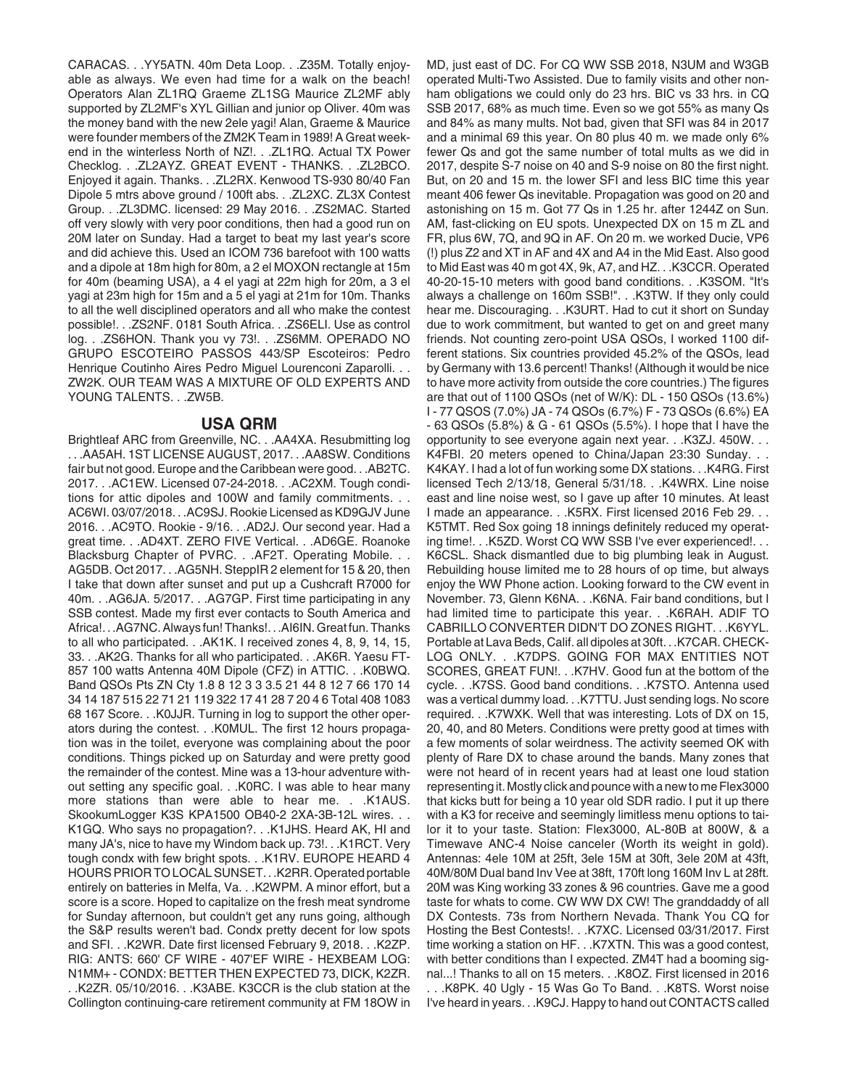CARACAS. . .YY5ATN. 40m Deta Loop. . .Z35M. Totally enjoyable as always. We even had time for a walk on the beach! Operators Alan ZL1RQ Graeme ZL1SG Maurice ZL2MF ably supported by ZL2MF's XYL Gillian and junior op Oliver. 40m was the money band with the new 2ele yagi! Alan, Graeme & Maurice were founder members of the ZM2K Team in 1989! A Great weekend in the winterless North of NZ!. . .ZL1RQ. Actual TX Power Checklog. . .ZL2AYZ. GREAT EVENT - THANKS. . .ZL2BCO. Enjoyed it again. Thanks. . .ZL2RX. Kenwood TS-930 80/40 Fan Dipole 5 mtrs above ground / 100ft abs. . .ZL2XC. ZL3X Contest Group. . .ZL3DMC. licensed: 29 May 2016. . .ZS2MAC. Started off very slowly with very poor conditions, then had a good run on 20M later on Sunday. Had a target to beat my last year's score and did achieve this. Used an ICOM 736 barefoot with 100 watts and a dipole at 18m high for 80m, a 2 el MOXON rectangle at 15m for 40m (beaming USA), a 4 el yagi at 22m high for 20m, a 3 el yagi at 23m high for 15m and a 5 el yagi at 21m for 10m. Thanks to all the well disciplined operators and all who make the contest possible!. . .ZS2NF. 0181 South Africa. . .ZS6ELI. Use as control log. . . ZS6HON. Thank you vy 73!. . . ZS6MM. OPERADO NO GRUPO ESCOTEIRO PASSOS 443/SP Escoteiros: Pedro Henrique Coutinho Aires Pedro Miguel Lourenconi Zaparolli. . . ZW2K. OUR TEAM WAS A MIXTURE OF OLD EXPERTS AND YOUNG TALENTS. . .ZW5B.

## **USA QRM**

Brightleaf ARC from Greenville, NC. . .AA4XA. Resubmitting log . . .AA5AH. 1ST LICENSE AUGUST, 2017. . .AA8SW. Conditions fair but not good. Europe and the Caribbean were good. . .AB2TC. 2017. . .AC1EW. Licensed 07-24-2018. . .AC2XM. Tough conditions for attic dipoles and 100W and family commitments. . . AC6WI. 03/07/2018. . .AC9SJ. Rookie Licensed as KD9GJV June 2016. . .AC9TO. Rookie - 9/16. . .AD2J. Our second year. Had a great time. . .AD4XT. ZERO FIVE Vertical. . .AD6GE. Roanoke Blacksburg Chapter of PVRC. . .AF2T. Operating Mobile. . . AG5DB. Oct 2017. . .AG5NH. SteppIR 2 element for 15 & 20, then I take that down after sunset and put up a Cushcraft R7000 for 40m. . .AG6JA. 5/2017. . .AG7GP. First time participating in any SSB contest. Made my first ever contacts to South America and Africa!. . .AG7NC. Always fun! Thanks!. . .AI6IN. Great fun. Thanks to all who participated. . .AK1K. I received zones 4, 8, 9, 14, 15, 33. . .AK2G. Thanks for all who participated. . .AK6R. Yaesu FT-857 100 watts Antenna 40M Dipole (CFZ) in ATTIC. . .K0BWQ. Band QSOs Pts ZN Cty 1.8 8 12 3 3 3.5 21 44 8 12 7 66 170 14 34 14 187 515 22 71 21 119 322 17 41 28 7 20 4 6 Total 408 1083 68 167 Score. . .K0JJR. Turning in log to support the other operators during the contest. . .K0MUL. The first 12 hours propagation was in the toilet, everyone was complaining about the poor conditions. Things picked up on Saturday and were pretty good the remainder of the contest. Mine was a 13-hour adventure without setting any specific goal. . .K0RC. I was able to hear many more stations than were able to hear me. . .K1AUS. SkookumLogger K3S KPA1500 OB40-2 2XA-3B-12L wires. . . K1GQ. Who says no propagation?. . .K1JHS. Heard AK, HI and many JA's, nice to have my Windom back up. 73!. . .K1RCT. Very tough condx with few bright spots. . .K1RV. EUROPE HEARD 4 HOURS PRIOR TO LOCAL SUNSET. . .K2RR. Operated portable entirely on batteries in Melfa, Va. . .K2WPM. A minor effort, but a score is a score. Hoped to capitalize on the fresh meat syndrome for Sunday afternoon, but couldn't get any runs going, although the S&P results weren't bad. Condx pretty decent for low spots and SFI. . .K2WR. Date first licensed February 9, 2018. . .K2ZP. RIG: ANTS: 660' CF WIRE - 407'EF WIRE - HEXBEAM LOG: N1MM+ - CONDX: BETTER THEN EXPECTED 73, DICK, K2ZR. . .K2ZR. 05/10/2016. . .K3ABE. K3CCR is the club station at the Collington continuing-care retirement community at FM 18OW in MD, just east of DC. For CQ WW SSB 2018, N3UM and W3GB operated Multi-Two Assisted. Due to family visits and other nonham obligations we could only do 23 hrs. BIC vs 33 hrs. in CQ SSB 2017, 68% as much time. Even so we got 55% as many Qs and 84% as many mults. Not bad, given that SFI was 84 in 2017 and a minimal 69 this year. On 80 plus 40 m. we made only 6% fewer Qs and got the same number of total mults as we did in 2017, despite S-7 noise on 40 and S-9 noise on 80 the first night. But, on 20 and 15 m. the lower SFI and less BIC time this year meant 406 fewer Qs inevitable. Propagation was good on 20 and astonishing on 15 m. Got 77 Qs in 1.25 hr. after 1244Z on Sun. AM, fast-clicking on EU spots. Unexpected DX on 15 m ZL and FR, plus 6W, 7Q, and 9Q in AF. On 20 m. we worked Ducie, VP6 (!) plus Z2 and XT in AF and 4X and A4 in the Mid East. Also good to Mid East was 40 m got 4X, 9k, A7, and HZ. . .K3CCR. Operated 40-20-15-10 meters with good band conditions. . .K3SOM. "It's always a challenge on 160m SSB!". . .K3TW. If they only could hear me. Discouraging. . .K3URT. Had to cut it short on Sunday due to work commitment, but wanted to get on and greet many friends. Not counting zero-point USA QSOs, I worked 1100 different stations. Six countries provided 45.2% of the QSOs, lead by Germany with 13.6 percent! Thanks! (Although it would be nice to have more activity from outside the core countries.) The figures are that out of 1100 QSOs (net of W/K): DL - 150 QSOs (13.6%) I - 77 QSOS (7.0%) JA - 74 QSOs (6.7%) F - 73 QSOs (6.6%) EA - 63 QSOs (5.8%) & G - 61 QSOs (5.5%). I hope that I have the opportunity to see everyone again next year. . .K3ZJ. 450W. . . K4FBI. 20 meters opened to China/Japan 23:30 Sunday. . . K4KAY. I had a lot of fun working some DX stations. . .K4RG. First licensed Tech 2/13/18, General 5/31/18. . .K4WRX. Line noise east and line noise west, so I gave up after 10 minutes. At least I made an appearance. . .K5RX. First licensed 2016 Feb 29. . . K5TMT. Red Sox going 18 innings definitely reduced my operating time!. . . K5ZD. Worst CQ WW SSB I've ever experienced!. . . K6CSL. Shack dismantled due to big plumbing leak in August. Rebuilding house limited me to 28 hours of op time, but always enjoy the WW Phone action. Looking forward to the CW event in November. 73, Glenn K6NA. . .K6NA. Fair band conditions, but I had limited time to participate this year. . .K6RAH. ADIF TO CABRILLO CONVERTER DIDN'T DO ZONES RIGHT. . .K6YYL. Portable at Lava Beds, Calif. all dipoles at 30ft. . .K7CAR. CHECK-LOG ONLY. . .K7DPS. GOING FOR MAX ENTITIES NOT SCORES, GREAT FUN!. . .K7HV. Good fun at the bottom of the cycle. . .K7SS. Good band conditions. . .K7STO. Antenna used was a vertical dummy load. . .K7TTU. Just sending logs. No score required. . .K7WXK. Well that was interesting. Lots of DX on 15, 20, 40, and 80 Meters. Conditions were pretty good at times with a few moments of solar weirdness. The activity seemed OK with plenty of Rare DX to chase around the bands. Many zones that were not heard of in recent years had at least one loud station representing it. Mostly click and pounce with a new to me Flex3000 that kicks butt for being a 10 year old SDR radio. I put it up there with a K3 for receive and seemingly limitless menu options to tailor it to your taste. Station: Flex3000, AL-80B at 800W, & a Timewave ANC-4 Noise canceler (Worth its weight in gold). Antennas: 4ele 10M at 25ft, 3ele 15M at 30ft, 3ele 20M at 43ft, 40M/80M Dual band Inv Vee at 38ft, 170ft long 160M Inv L at 28ft. 20M was King working 33 zones & 96 countries. Gave me a good taste for whats to come. CW WW DX CW! The granddaddy of all DX Contests. 73s from Northern Nevada. Thank You CQ for Hosting the Best Contests!. . .K7XC. Licensed 03/31/2017. First time working a station on HF. . .K7XTN. This was a good contest, with better conditions than I expected. ZM4T had a booming signal...! Thanks to all on 15 meters. . .K8OZ. First licensed in 2016 . . .K8PK. 40 Ugly - 15 Was Go To Band. . .K8TS. Worst noise I've heard in years. . .K9CJ. Happy to hand out CONTACTS called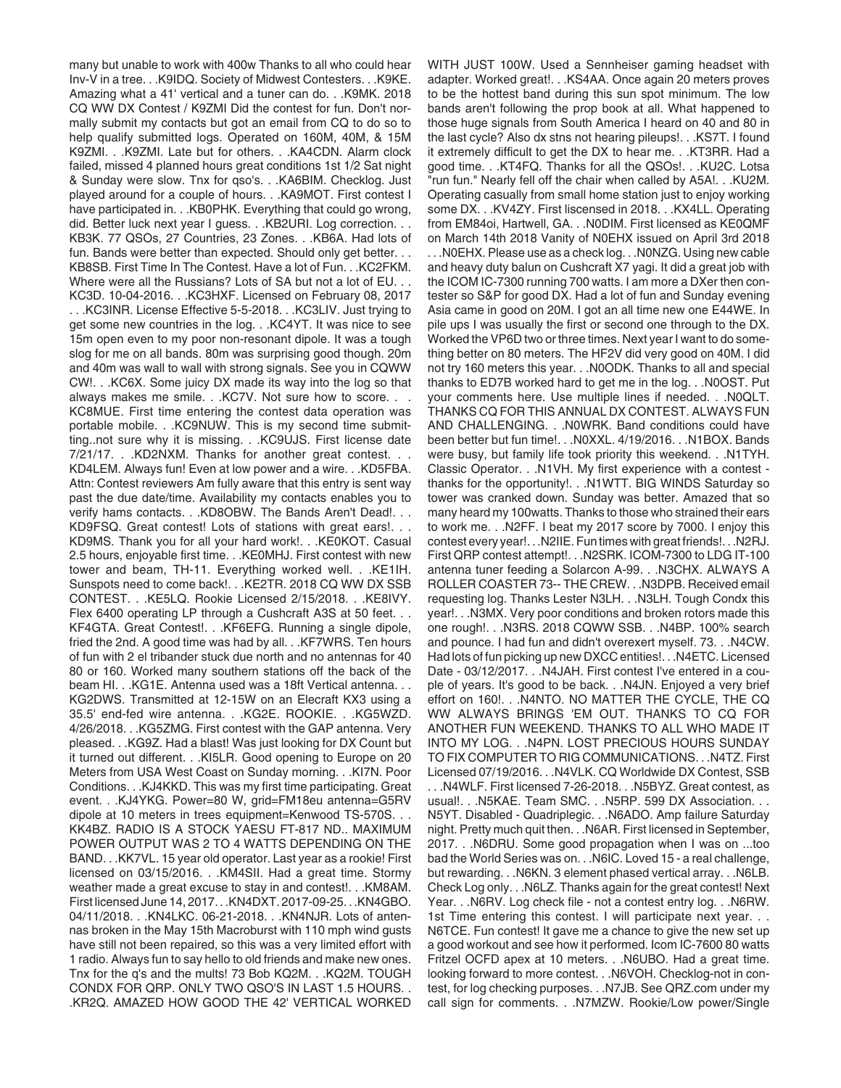many but unable to work with 400w Thanks to all who could hear Inv-V in a tree. . .K9IDQ. Society of Midwest Contesters. . .K9KE. Amazing what a 41' vertical and a tuner can do. . .K9MK. 2018 CQ WW DX Contest / K9ZMI Did the contest for fun. Don't normally submit my contacts but got an email from CQ to do so to help qualify submitted logs. Operated on 160M, 40M, & 15M K9ZMI. . .K9ZMI. Late but for others. . .KA4CDN. Alarm clock failed, missed 4 planned hours great conditions 1st 1/2 Sat night & Sunday were slow. Tnx for qso's. . .KA6BIM. Checklog. Just played around for a couple of hours. . .KA9MOT. First contest I have participated in. . . KB0PHK. Everything that could go wrong, did. Better luck next year I guess. . . KB2URI. Log correction. . . KB3K. 77 QSOs, 27 Countries, 23 Zones. . .KB6A. Had lots of fun. Bands were better than expected. Should only get better. . . KB8SB. First Time In The Contest. Have a lot of Fun. . .KC2FKM. Where were all the Russians? Lots of SA but not a lot of EU. . . KC3D. 10-04-2016. . .KC3HXF. Licensed on February 08, 2017 . . .KC3INR. License Effective 5-5-2018. . .KC3LIV. Just trying to get some new countries in the log. . .KC4YT. It was nice to see 15m open even to my poor non-resonant dipole. It was a tough slog for me on all bands. 80m was surprising good though. 20m and 40m was wall to wall with strong signals. See you in CQWW CW!. . .KC6X. Some juicy DX made its way into the log so that always makes me smile. . . KC7V. Not sure how to score. . . KC8MUE. First time entering the contest data operation was portable mobile. . .KC9NUW. This is my second time submitting..not sure why it is missing. . .KC9UJS. First license date 7/21/17. . .KD2NXM. Thanks for another great contest. . . KD4LEM. Always fun! Even at low power and a wire. . .KD5FBA. Attn: Contest reviewers Am fully aware that this entry is sent way past the due date/time. Availability my contacts enables you to verify hams contacts. . . KD8OBW. The Bands Aren't Dead!. . . KD9FSQ. Great contest! Lots of stations with great ears!. . . KD9MS. Thank you for all your hard work!. . .KE0KOT. Casual 2.5 hours, enjoyable first time. . .KE0MHJ. First contest with new tower and beam, TH-11. Everything worked well. . .KE1IH. Sunspots need to come back!. . .KE2TR. 2018 CQ WW DX SSB CONTEST. . .KE5LQ. Rookie Licensed 2/15/2018. . .KE8IVY. Flex 6400 operating LP through a Cushcraft A3S at 50 feet. . . KF4GTA. Great Contest!. . .KF6EFG. Running a single dipole, fried the 2nd. A good time was had by all. . .KF7WRS. Ten hours of fun with 2 el tribander stuck due north and no antennas for 40 80 or 160. Worked many southern stations off the back of the beam HI. . .KG1E. Antenna used was a 18ft Vertical antenna. . . KG2DWS. Transmitted at 12-15W on an Elecraft KX3 using a 35.5' end-fed wire antenna. . .KG2E. ROOKIE. . .KG5WZD. 4/26/2018. . .KG5ZMG. First contest with the GAP antenna. Very pleased. . .KG9Z. Had a blast! Was just looking for DX Count but it turned out different. . .KI5LR. Good opening to Europe on 20 Meters from USA West Coast on Sunday morning. . .KI7N. Poor Conditions. . .KJ4KKD. This was my first time participating. Great event. . .KJ4YKG. Power=80 W, grid=FM18eu antenna=G5RV dipole at 10 meters in trees equipment=Kenwood TS-570S. . . KK4BZ. RADIO IS A STOCK YAESU FT-817 ND.. MAXIMUM POWER OUTPUT WAS 2 TO 4 WATTS DEPENDING ON THE BAND. . .KK7VL. 15 year old operator. Last year as a rookie! First licensed on 03/15/2016. . .KM4SII. Had a great time. Stormy weather made a great excuse to stay in and contest!. . .KM8AM. First licensed June 14, 2017. . .KN4DXT. 2017-09-25. . .KN4GBO. 04/11/2018. . .KN4LKC. 06-21-2018. . .KN4NJR. Lots of antennas broken in the May 15th Macroburst with 110 mph wind gusts have still not been repaired, so this was a very limited effort with 1 radio. Always fun to say hello to old friends and make new ones. Tnx for the q's and the mults! 73 Bob KQ2M. . .KQ2M. TOUGH CONDX FOR QRP. ONLY TWO QSO'S IN LAST 1.5 HOURS. . .KR2Q. AMAZED HOW GOOD THE 42' VERTICAL WORKED

WITH JUST 100W. Used a Sennheiser gaming headset with adapter. Worked great!. . .KS4AA. Once again 20 meters proves to be the hottest band during this sun spot minimum. The low bands aren't following the prop book at all. What happened to those huge signals from South America I heard on 40 and 80 in the last cycle? Also dx stns not hearing pileups!. . .KS7T. I found it extremely difficult to get the DX to hear me. . .KT3RR. Had a good time. . .KT4FQ. Thanks for all the QSOs!. . .KU2C. Lotsa "run fun." Nearly fell off the chair when called by A5A!. . .KU2M. Operating casually from small home station just to enjoy working some DX. . .KV4ZY. First liscensed in 2018. . .KX4LL. Operating from EM84oi, Hartwell, GA. . .N0DIM. First licensed as KE0QMF on March 14th 2018 Vanity of N0EHX issued on April 3rd 2018 . . .N0EHX. Please use as a check log. . .N0NZG. Using new cable and heavy duty balun on Cushcraft X7 yagi. It did a great job with the ICOM IC-7300 running 700 watts. I am more a DXer then contester so S&P for good DX. Had a lot of fun and Sunday evening Asia came in good on 20M. I got an all time new one E44WE. In pile ups I was usually the first or second one through to the DX. Worked the VP6D two or three times. Next year I want to do something better on 80 meters. The HF2V did very good on 40M. I did not try 160 meters this year. . .N0ODK. Thanks to all and special thanks to ED7B worked hard to get me in the log. . .N0OST. Put your comments here. Use multiple lines if needed. . .N0QLT. THANKS CQ FOR THIS ANNUAL DX CONTEST. ALWAYS FUN AND CHALLENGING. . .N0WRK. Band conditions could have been better but fun time!. . .N0XXL. 4/19/2016. . .N1BOX. Bands were busy, but family life took priority this weekend. . .N1TYH. Classic Operator. . .N1VH. My first experience with a contest thanks for the opportunity!. . .N1WTT. BIG WINDS Saturday so tower was cranked down. Sunday was better. Amazed that so many heard my 100watts. Thanks to those who strained their ears to work me. . .N2FF. I beat my 2017 score by 7000. I enjoy this contest every year!. . .N2IIE. Fun times with great friends!. . .N2RJ. First QRP contest attempt!. . .N2SRK. ICOM-7300 to LDG IT-100 antenna tuner feeding a Solarcon A-99. . .N3CHX. ALWAYS A ROLLER COASTER 73-- THE CREW. . .N3DPB. Received email requesting log. Thanks Lester N3LH. . .N3LH. Tough Condx this year!. . .N3MX. Very poor conditions and broken rotors made this one rough!. . .N3RS. 2018 CQWW SSB. . .N4BP. 100% search and pounce. I had fun and didn't overexert myself. 73. . .N4CW. Had lots of fun picking up new DXCC entities!. . .N4ETC. Licensed Date - 03/12/2017. . . N4JAH. First contest I've entered in a couple of years. It's good to be back. . .N4JN. Enjoyed a very brief effort on 160!. . .N4NTO. NO MATTER THE CYCLE, THE CQ WW ALWAYS BRINGS 'EM OUT. THANKS TO CQ FOR ANOTHER FUN WEEKEND. THANKS TO ALL WHO MADE IT INTO MY LOG. . .N4PN. LOST PRECIOUS HOURS SUNDAY TO FIX COMPUTER TO RIG COMMUNICATIONS. . .N4TZ. First Licensed 07/19/2016. . .N4VLK. CQ Worldwide DX Contest, SSB . . .N4WLF. First licensed 7-26-2018. . .N5BYZ. Great contest, as usual!. . .N5KAE. Team SMC. . .N5RP. 599 DX Association. . . N5YT. Disabled - Quadriplegic. . .N6ADO. Amp failure Saturday night. Pretty much quit then. . .N6AR. First licensed in September, 2017. . .N6DRU. Some good propagation when I was on ...too bad the World Series was on. . .N6IC. Loved 15 - a real challenge, but rewarding. . .N6KN. 3 element phased vertical array. . .N6LB. Check Log only. . .N6LZ. Thanks again for the great contest! Next Year. . .N6RV. Log check file - not a contest entry log. . .N6RW. 1st Time entering this contest. I will participate next year. . . N6TCE. Fun contest! It gave me a chance to give the new set up a good workout and see how it performed. Icom IC-7600 80 watts Fritzel OCFD apex at 10 meters. . .N6UBO. Had a great time. looking forward to more contest. . .N6VOH. Checklog-not in contest, for log checking purposes. . .N7JB. See QRZ.com under my call sign for comments. . .N7MZW. Rookie/Low power/Single